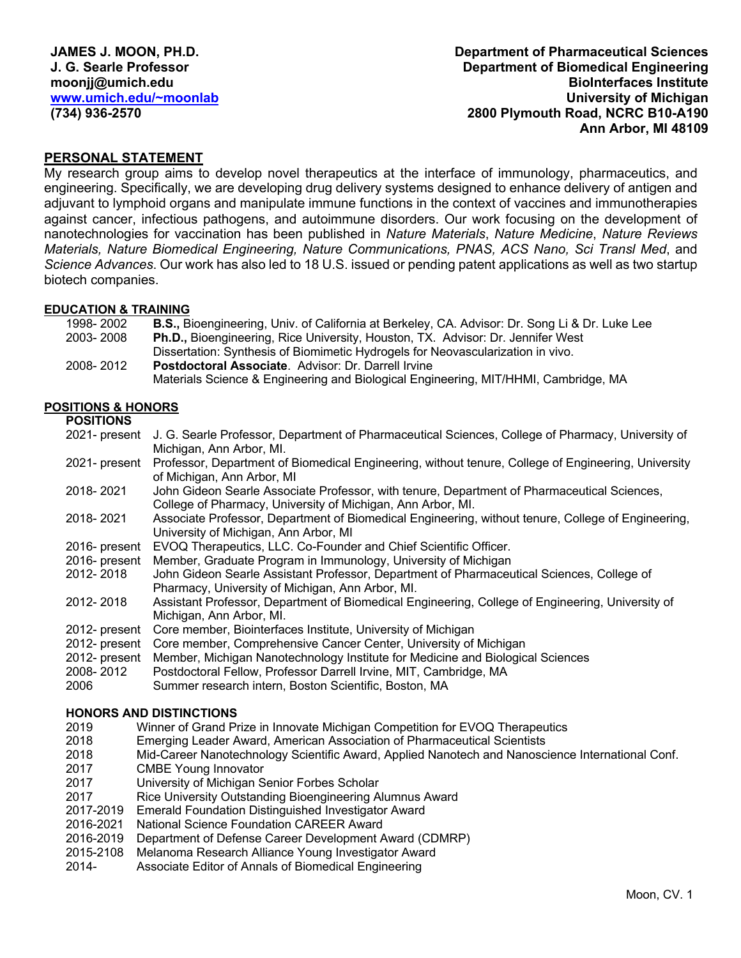**Department of Pharmaceutical Sciences Department of Biomedical Engineering BioInterfaces Institute University of Michigan 2800 Plymouth Road, NCRC B10-A190 Ann Arbor, MI 48109**

# **PERSONAL STATEMENT**

My research group aims to develop novel therapeutics at the interface of immunology, pharmaceutics, and engineering. Specifically, we are developing drug delivery systems designed to enhance delivery of antigen and adjuvant to lymphoid organs and manipulate immune functions in the context of vaccines and immunotherapies against cancer, infectious pathogens, and autoimmune disorders. Our work focusing on the development of nanotechnologies for vaccination has been published in *Nature Materials*, *Nature Medicine*, *Nature Reviews Materials, Nature Biomedical Engineering, Nature Communications, PNAS, ACS Nano, Sci Transl Med*, and *Science Advances*. Our work has also led to 18 U.S. issued or pending patent applications as well as two startup biotech companies.

#### **EDUCATION & TRAINING**

| 1998-2002 | <b>B.S., Bioengineering, Univ. of California at Berkeley, CA. Advisor: Dr. Song Li &amp; Dr. Luke Lee</b> |
|-----------|-----------------------------------------------------------------------------------------------------------|
| 2003-2008 | <b>Ph.D., Bioengineering, Rice University, Houston, TX. Advisor: Dr. Jennifer West</b>                    |
|           | Dissertation: Synthesis of Biomimetic Hydrogels for Neovascularization in vivo.                           |
| 2008-2012 | Postdoctoral Associate. Advisor: Dr. Darrell Irvine                                                       |
|           | Materials Science & Engineering and Biological Engineering, MIT/HHMI, Cambridge, MA                       |

#### **POSITIONS & HONORS**

#### **POSITIONS**

| J. G. Searle Professor, Department of Pharmaceutical Sciences, College of Pharmacy, University of<br>2021- present |
|--------------------------------------------------------------------------------------------------------------------|
| Michigan, Ann Arbor, MI.                                                                                           |
| Professor, Department of Biomedical Engineering, without tenure, College of Engineering, University                |
| of Michigan, Ann Arbor, MI                                                                                         |
| John Gideon Searle Associate Professor, with tenure, Department of Pharmaceutical Sciences,                        |
| College of Pharmacy, University of Michigan, Ann Arbor, MI.                                                        |
| Associate Professor, Department of Biomedical Engineering, without tenure, College of Engineering,                 |
| University of Michigan, Ann Arbor, MI                                                                              |
| EVOQ Therapeutics, LLC. Co-Founder and Chief Scientific Officer.                                                   |
| Member, Graduate Program in Immunology, University of Michigan                                                     |
| John Gideon Searle Assistant Professor, Department of Pharmaceutical Sciences, College of                          |
| Pharmacy, University of Michigan, Ann Arbor, MI.                                                                   |
| Assistant Professor, Department of Biomedical Engineering, College of Engineering, University of                   |
| Michigan, Ann Arbor, MI.                                                                                           |
| Core member, Biointerfaces Institute, University of Michigan                                                       |
| Core member, Comprehensive Cancer Center, University of Michigan                                                   |
| Member, Michigan Nanotechnology Institute for Medicine and Biological Sciences                                     |
| Postdoctoral Fellow, Professor Darrell Irvine, MIT, Cambridge, MA                                                  |
| Summer research intern, Boston Scientific, Boston, MA                                                              |
| 2021- present                                                                                                      |

#### **HONORS AND DISTINCTIONS**

- 2019 Winner of Grand Prize in Innovate Michigan Competition for EVOQ Therapeutics
- 2018 Emerging Leader Award, American Association of Pharmaceutical Scientists
- 2018 Mid-Career Nanotechnology Scientific Award, Applied Nanotech and Nanoscience International Conf.
- 2017 CMBE Young Innovator
- 2017 University of Michigan Senior Forbes Scholar
- 2017 Rice University Outstanding Bioengineering Alumnus Award
- 2017-2019 Emerald Foundation Distinguished Investigator Award
- 2016-2021 National Science Foundation CAREER Award<br>2016-2019 Department of Defense Career Development A
- Department of Defense Career Development Award (CDMRP)
- 2015-2108 Melanoma Research Alliance Young Investigator Award
- 2014- Associate Editor of Annals of Biomedical Engineering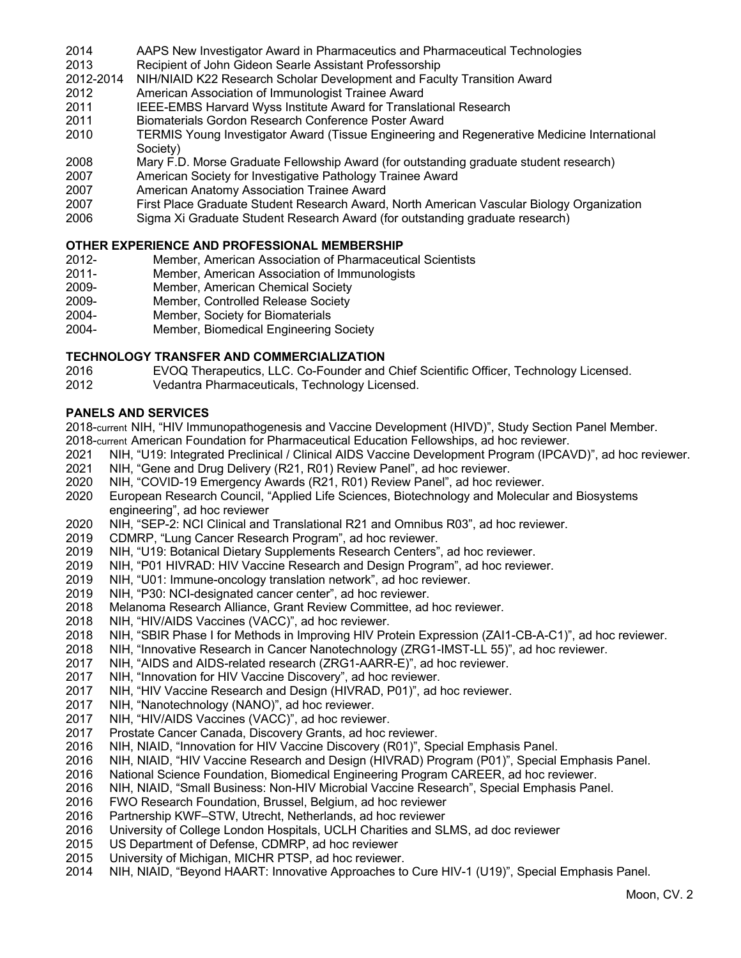- AAPS New Investigator Award in Pharmaceutics and Pharmaceutical Technologies
- Recipient of John Gideon Searle Assistant Professorship
- NIH/NIAID K22 Research Scholar Development and Faculty Transition Award
- American Association of Immunologist Trainee Award
- IEEE-EMBS Harvard Wyss Institute Award for Translational Research
- Biomaterials Gordon Research Conference Poster Award
- TERMIS Young Investigator Award (Tissue Engineering and Regenerative Medicine International Society)
- Mary F.D. Morse Graduate Fellowship Award (for outstanding graduate student research)
- American Society for Investigative Pathology Trainee Award
- American Anatomy Association Trainee Award
- First Place Graduate Student Research Award, North American Vascular Biology Organization
- Sigma Xi Graduate Student Research Award (for outstanding graduate research)

#### **OTHER EXPERIENCE AND PROFESSIONAL MEMBERSHIP**

- 2012- Member, American Association of Pharmaceutical Scientists
- 2011- Member, American Association of Immunologists
- 2009- Member, American Chemical Society
- 2009- Member, Controlled Release Society
- 2004- Member, Society for Biomaterials
- 2004- Member, Biomedical Engineering Society

### **TECHNOLOGY TRANSFER AND COMMERCIALIZATION**

- EVOQ Therapeutics, LLC. Co-Founder and Chief Scientific Officer, Technology Licensed.
- Vedantra Pharmaceuticals, Technology Licensed.

#### **PANELS AND SERVICES**

2018-current NIH, "HIV Immunopathogenesis and Vaccine Development (HIVD)", Study Section Panel Member. 2018-current American Foundation for Pharmaceutical Education Fellowships, ad hoc reviewer.

- NIH, "U19: Integrated Preclinical / Clinical AIDS Vaccine Development Program (IPCAVD)", ad hoc reviewer.
- NIH, "Gene and Drug Delivery (R21, R01) Review Panel", ad hoc reviewer.
- NIH, "COVID-19 Emergency Awards (R21, R01) Review Panel", ad hoc reviewer.
- European Research Council, "Applied Life Sciences, Biotechnology and Molecular and Biosystems engineering", ad hoc reviewer
- NIH, "SEP-2: NCI Clinical and Translational R21 and Omnibus R03", ad hoc reviewer.
- CDMRP, "Lung Cancer Research Program", ad hoc reviewer.
- NIH, "U19: Botanical Dietary Supplements Research Centers", ad hoc reviewer.
- 2019 NIH, "P01 HIVRAD: HIV Vaccine Research and Design Program", ad hoc reviewer.<br>2019 NIH, "U01: Immune-oncology translation network", ad hoc reviewer.
- NIH, "U01: Immune-oncology translation network", ad hoc reviewer.
- NIH, "P30: NCI-designated cancer center", ad hoc reviewer.
- Melanoma Research Alliance, Grant Review Committee, ad hoc reviewer.
- NIH, "HIV/AIDS Vaccines (VACC)", ad hoc reviewer.
- NIH, "SBIR Phase I for Methods in Improving HIV Protein Expression (ZAI1-CB-A-C1)", ad hoc reviewer.
- NIH, "Innovative Research in Cancer Nanotechnology (ZRG1-IMST-LL 55)", ad hoc reviewer.
- NIH, "AIDS and AIDS-related research (ZRG1-AARR-E)", ad hoc reviewer.
- NIH, "Innovation for HIV Vaccine Discovery", ad hoc reviewer.
- NIH, "HIV Vaccine Research and Design (HIVRAD, P01)", ad hoc reviewer.
- NIH, "Nanotechnology (NANO)", ad hoc reviewer.
- NIH, "HIV/AIDS Vaccines (VACC)", ad hoc reviewer.
- Prostate Cancer Canada, Discovery Grants, ad hoc reviewer.
- NIH, NIAID, "Innovation for HIV Vaccine Discovery (R01)", Special Emphasis Panel.
- NIH, NIAID, "HIV Vaccine Research and Design (HIVRAD) Program (P01)", Special Emphasis Panel.
- National Science Foundation, Biomedical Engineering Program CAREER, ad hoc reviewer.
- NIH, NIAID, "Small Business: Non-HIV Microbial Vaccine Research", Special Emphasis Panel.
- FWO Research Foundation, Brussel, Belgium, ad hoc reviewer
- Partnership KWF–STW, Utrecht, Netherlands, ad hoc reviewer
- University of College London Hospitals, UCLH Charities and SLMS, ad doc reviewer
- US Department of Defense, CDMRP, ad hoc reviewer
- University of Michigan, MICHR PTSP, ad hoc reviewer.
- NIH, NIAID, "Beyond HAART: Innovative Approaches to Cure HIV-1 (U19)", Special Emphasis Panel.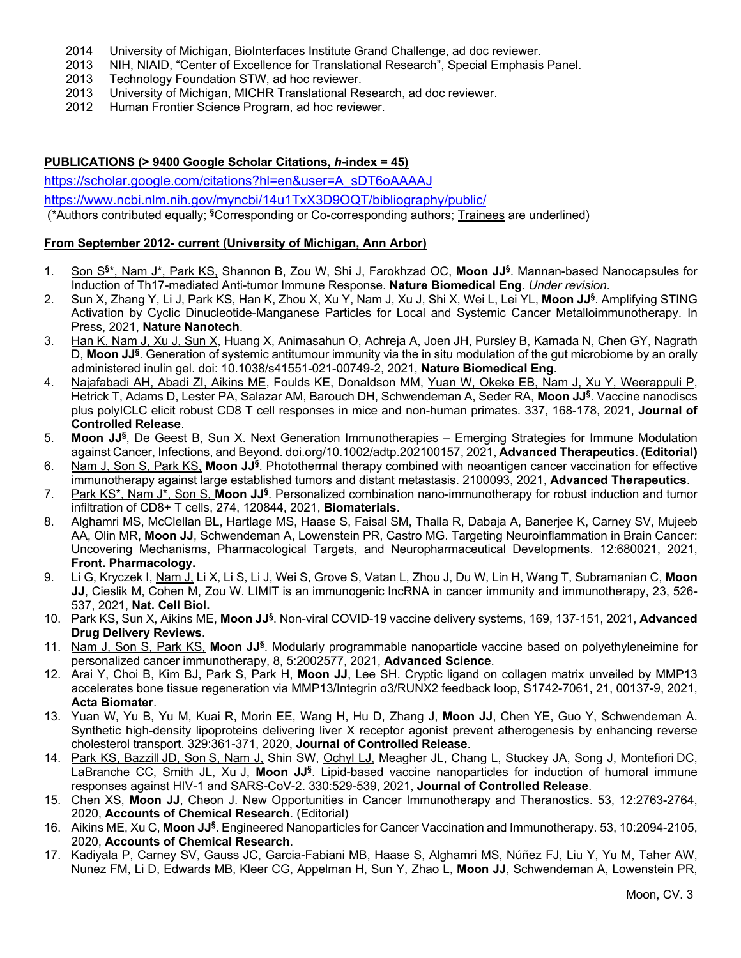- 2014 University of Michigan, BioInterfaces Institute Grand Challenge, ad doc reviewer.
- 2013 NIH, NIAID, "Center of Excellence for Translational Research", Special Emphasis Panel.
- Technology Foundation STW, ad hoc reviewer.
- 2013 University of Michigan, MICHR Translational Research, ad doc reviewer.
- 2012 Human Frontier Science Program, ad hoc reviewer.

## **PUBLICATIONS (> 9400 Google Scholar Citations,** *h***-index = 45)**

https://scholar.google.com/citations?hl=en&user=A\_sDT6oAAAAJ

https://www.ncbi.nlm.nih.gov/myncbi/14u1TxX3D9OQT/bibliography/public/

(\*Authors contributed equally; **§**Corresponding or Co-corresponding authors; Trainees are underlined)

#### **From September 2012- current (University of Michigan, Ann Arbor)**

- 1. Son S**§**\*, Nam J\*, Park KS, Shannon B, Zou W, Shi J, Farokhzad OC, **Moon JJ§**. Mannan-based Nanocapsules for Induction of Th17-mediated Anti-tumor Immune Response. **Nature Biomedical Eng**. *Under revision*.
- 2. Sun X, Zhang Y, Li J, Park KS, Han K, Zhou X, Xu Y, Nam J, Xu J, Shi X, Wei L, Lei YL, **Moon JJ§**. Amplifying STING Activation by Cyclic Dinucleotide-Manganese Particles for Local and Systemic Cancer Metalloimmunotherapy. In Press, 2021, **Nature Nanotech**.
- 3. Han K, Nam J, Xu J, Sun X, Huang X, Animasahun O, Achreja A, Joen JH, Pursley B, Kamada N, Chen GY, Nagrath D, **Moon JJ§**. Generation of systemic antitumour immunity via the in situ modulation of the gut microbiome by an orally administered inulin gel. doi: 10.1038/s41551-021-00749-2, 2021, **Nature Biomedical Eng**.
- 4. Najafabadi AH, Abadi ZI, Aikins ME, Foulds KE, Donaldson MM, Yuan W, Okeke EB, Nam J, Xu Y, Weerappuli P, Hetrick T, Adams D, Lester PA, Salazar AM, Barouch DH, Schwendeman A, Seder RA, **Moon JJ§**. Vaccine nanodiscs plus polyICLC elicit robust CD8 T cell responses in mice and non-human primates. 337, 168-178, 2021, **Journal of Controlled Release**.
- 5. **Moon JJ§**, De Geest B, Sun X. Next Generation Immunotherapies Emerging Strategies for Immune Modulation against Cancer, Infections, and Beyond. doi.org/10.1002/adtp.202100157, 2021, **Advanced Therapeutics**. **(Editorial)**
- 6. Nam J, Son S, Park KS, **Moon JJ§**. Photothermal therapy combined with neoantigen cancer vaccination for effective immunotherapy against large established tumors and distant metastasis. 2100093, 2021, **Advanced Therapeutics**.
- 7. Park KS\*, Nam J\*, Son S, **Moon JJ§**. Personalized combination nano-immunotherapy for robust induction and tumor infiltration of CD8+ T cells, 274, 120844, 2021, **Biomaterials**.
- 8. Alghamri MS, McClellan BL, Hartlage MS, Haase S, Faisal SM, Thalla R, Dabaja A, Banerjee K, Carney SV, Mujeeb AA, Olin MR, **Moon JJ**, Schwendeman A, Lowenstein PR, Castro MG. Targeting Neuroinflammation in Brain Cancer: Uncovering Mechanisms, Pharmacological Targets, and Neuropharmaceutical Developments. 12:680021, 2021, **Front. Pharmacology.**
- 9. Li G, Kryczek I, Nam J, Li X, Li S, Li J, Wei S, Grove S, Vatan L, Zhou J, Du W, Lin H, Wang T, Subramanian C, **Moon JJ**, Cieslik M, Cohen M, Zou W. LIMIT is an immunogenic lncRNA in cancer immunity and immunotherapy, 23, 526- 537, 2021, **Nat. Cell Biol.**
- 10. Park KS, Sun X, Aikins ME, **Moon JJ§**. Non-viral COVID-19 vaccine delivery systems, 169, 137-151, 2021, **Advanced Drug Delivery Reviews**.
- 11. Nam J, Son S, Park KS, **Moon JJ§**. Modularly programmable nanoparticle vaccine based on polyethyleneimine for personalized cancer immunotherapy, 8, 5:2002577, 2021, **Advanced Science**.
- 12. Arai Y, Choi B, Kim BJ, Park S, Park H, **Moon JJ**, Lee SH. Cryptic ligand on collagen matrix unveiled by MMP13 accelerates bone tissue regeneration via MMP13/Integrin α3/RUNX2 feedback loop, S1742-7061, 21, 00137-9, 2021, **Acta Biomater**.
- 13. Yuan W, Yu B, Yu M, Kuai R, Morin EE, Wang H, Hu D, Zhang J, **Moon JJ**, Chen YE, Guo Y, Schwendeman A. Synthetic high-density lipoproteins delivering liver X receptor agonist prevent atherogenesis by enhancing reverse cholesterol transport. 329:361-371, 2020, **Journal of Controlled Release**.
- 14. Park KS, Bazzill JD, Son S, Nam J, Shin SW, Ochyl LJ, Meagher JL, Chang L, Stuckey JA, Song J, Montefiori DC, LaBranche CC, Smith JL, Xu J, **Moon JJ§**. Lipid-based vaccine nanoparticles for induction of humoral immune responses against HIV-1 and SARS-CoV-2. 330:529-539, 2021, **Journal of Controlled Release**.
- 15. Chen XS, **Moon JJ**, Cheon J. New Opportunities in Cancer Immunotherapy and Theranostics. 53, 12:2763-2764, 2020, **Accounts of Chemical Research**. (Editorial)
- 16. Aikins ME, Xu C, **Moon JJ§**. Engineered Nanoparticles for Cancer Vaccination and Immunotherapy. 53, 10:2094-2105, 2020, **Accounts of Chemical Research**.
- 17. Kadiyala P, Carney SV, Gauss JC, Garcia-Fabiani MB, Haase S, Alghamri MS, Núñez FJ, Liu Y, Yu M, Taher AW, Nunez FM, Li D, Edwards MB, Kleer CG, Appelman H, Sun Y, Zhao L, **Moon JJ**, Schwendeman A, Lowenstein PR,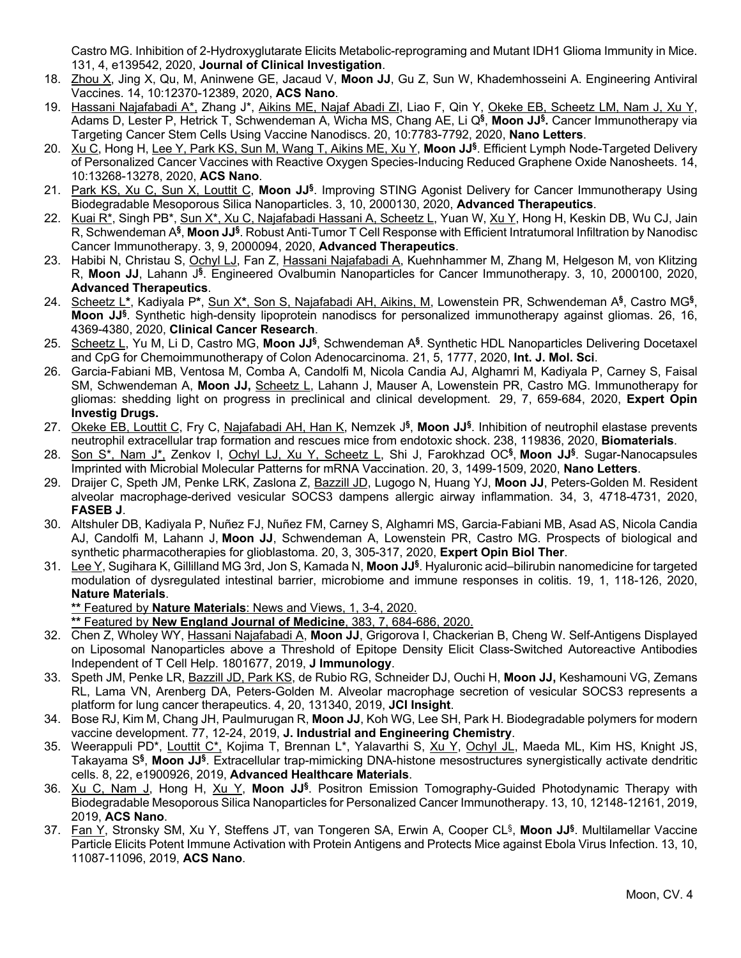Castro MG. Inhibition of 2-Hydroxyglutarate Elicits Metabolic-reprograming and Mutant IDH1 Glioma Immunity in Mice. 131, 4, e139542, 2020, **Journal of Clinical Investigation**.

- 18. Zhou X, Jing X, Qu, M, Aninwene GE, Jacaud V, **Moon JJ**, Gu Z, Sun W, Khademhosseini A. Engineering Antiviral Vaccines. 14, 10:12370-12389, 2020, **ACS Nano**.
- 19. Hassani Najafabadi A\*, Zhang J\*, Aikins ME, Najaf Abadi ZI, Liao F, Qin Y, Okeke EB, Scheetz LM, Nam J, Xu Y, Adams D, Lester P, Hetrick T, Schwendeman A, Wicha MS, Chang AE, Li Q**§**, **Moon JJ§.** Cancer Immunotherapy via Targeting Cancer Stem Cells Using Vaccine Nanodiscs. 20, 10:7783-7792, 2020, **Nano Letters**.
- 20. Xu C, Hong H, Lee Y, Park KS, Sun M, Wang T, Aikins ME, Xu Y, **Moon JJ§**. Efficient Lymph Node-Targeted Delivery of Personalized Cancer Vaccines with Reactive Oxygen Species-Inducing Reduced Graphene Oxide Nanosheets. 14, 10:13268-13278, 2020, **ACS Nano**.
- 21. Park KS, Xu C, Sun X, Louttit C, **Moon JJ§**. Improving STING Agonist Delivery for Cancer Immunotherapy Using Biodegradable Mesoporous Silica Nanoparticles. 3, 10, 2000130, 2020, **Advanced Therapeutics**.
- 22. Kuai R<sup>\*</sup>, Singh PB<sup>\*</sup>, Sun X<sup>\*</sup>, Xu C, Najafabadi Hassani A, Scheetz L, Yuan W, Xu Y, Hong H, Keskin DB, Wu CJ, Jain R, Schwendeman A**§**, **Moon JJ§**. Robust Anti-Tumor T Cell Response with Efficient Intratumoral Infiltration by Nanodisc Cancer Immunotherapy. 3, 9, 2000094, 2020, **Advanced Therapeutics**.
- 23. Habibi N, Christau S, Ochyl LJ, Fan Z, Hassani Najafabadi A, Kuehnhammer M, Zhang M, Helgeson M, von Klitzing R, **Moon JJ**, Lahann J**§**. Engineered Ovalbumin Nanoparticles for Cancer Immunotherapy. 3, 10, 2000100, 2020, **Advanced Therapeutics**.
- 24. Scheetz L**\***, Kadiyala P**\***, Sun X**\***, Son S, Najafabadi AH, Aikins, M, Lowenstein PR, Schwendeman A**§**, Castro MG**§**, **Moon JJ§**. Synthetic high-density lipoprotein nanodiscs for personalized immunotherapy against gliomas. 26, 16, 4369-4380, 2020, **Clinical Cancer Research**.
- 25. Scheetz L, Yu M, Li D, Castro MG, **Moon JJ§**, Schwendeman A**§**. Synthetic HDL Nanoparticles Delivering Docetaxel and CpG for Chemoimmunotherapy of Colon Adenocarcinoma. 21, 5, 1777, 2020, **Int. J. Mol. Sci**.
- 26. Garcia-Fabiani MB, Ventosa M, Comba A, Candolfi M, Nicola Candia AJ, Alghamri M, Kadiyala P, Carney S, Faisal SM, Schwendeman A, **Moon JJ,** Scheetz L, Lahann J, Mauser A, Lowenstein PR, Castro MG. Immunotherapy for gliomas: shedding light on progress in preclinical and clinical development. 29, 7, 659-684, 2020, **Expert Opin Investig Drugs.**
- 27. Okeke EB, Louttit C, Fry C, Najafabadi AH, Han K, Nemzek J**§**, **Moon JJ§**. Inhibition of neutrophil elastase prevents neutrophil extracellular trap formation and rescues mice from endotoxic shock. 238, 119836, 2020, **Biomaterials**.
- 28. Son S\*, Nam J\*, Zenkov I, Ochyl LJ, Xu Y, Scheetz L, Shi J, Farokhzad OC**§**, **Moon JJ§**. Sugar-Nanocapsules Imprinted with Microbial Molecular Patterns for mRNA Vaccination. 20, 3, 1499-1509, 2020, **Nano Letters**.
- 29. Draijer C, Speth JM, Penke LRK, Zaslona Z, Bazzill JD, Lugogo N, Huang YJ, **Moon JJ**, Peters-Golden M. Resident alveolar macrophage-derived vesicular SOCS3 dampens allergic airway inflammation. 34, 3, 4718-4731, 2020, **FASEB J**.
- 30. Altshuler DB, Kadiyala P, Nuñez FJ, Nuñez FM, Carney S, Alghamri MS, Garcia-Fabiani MB, Asad AS, Nicola Candia AJ, Candolfi M, Lahann J, **Moon JJ**, Schwendeman A, Lowenstein PR, Castro MG. Prospects of biological and synthetic pharmacotherapies for glioblastoma. 20, 3, 305-317, 2020, **Expert Opin Biol Ther**.
- 31. Lee Y, Sugihara K, Gillilland MG 3rd, Jon S, Kamada N, **Moon JJ§**. Hyaluronic acid–bilirubin nanomedicine for targeted modulation of dysregulated intestinal barrier, microbiome and immune responses in colitis. 19, 1, 118-126, 2020, **Nature Materials**.

**\*\*** Featured by **Nature Materials**: News and Views, 1, 3-4, 2020.

**\*\*** Featured by **New England Journal of Medicine**, 383, 7, 684-686, 2020.

- 32. Chen Z, Wholey WY, Hassani Najafabadi A, Moon JJ, Grigorova I, Chackerian B, Cheng W. Self-Antigens Displayed on Liposomal Nanoparticles above a Threshold of Epitope Density Elicit Class-Switched Autoreactive Antibodies Independent of T Cell Help. 1801677, 2019, **J Immunology**.
- 33. Speth JM, Penke LR, Bazzill JD, Park KS, de Rubio RG, Schneider DJ, Ouchi H, **Moon JJ,** Keshamouni VG, Zemans RL, Lama VN, Arenberg DA, Peters-Golden M. Alveolar macrophage secretion of vesicular SOCS3 represents a platform for lung cancer therapeutics. 4, 20, 131340, 2019, **JCI Insight**.
- 34. Bose RJ, Kim M, Chang JH, Paulmurugan R, **Moon JJ**, Koh WG, Lee SH, Park H. Biodegradable polymers for modern vaccine development. 77, 12-24, 2019, **J. Industrial and Engineering Chemistry**.
- 35. Weerappuli PD\*, Louttit C\*, Kojima T, Brennan L\*, Yalavarthi S, Xu Y, Ochyl JL, Maeda ML, Kim HS, Knight JS, Takayama S**§**, **Moon JJ§**. Extracellular trap-mimicking DNA-histone mesostructures synergistically activate dendritic cells. 8, 22, e1900926, 2019, **Advanced Healthcare Materials**.
- 36. Xu C, Nam J, Hong H, Xu Y, **Moon JJ§**. Positron Emission Tomography-Guided Photodynamic Therapy with Biodegradable Mesoporous Silica Nanoparticles for Personalized Cancer Immunotherapy. 13, 10, 12148-12161, 2019, 2019, **ACS Nano**.
- 37. Fan Y, Stronsky SM, Xu Y, Steffens JT, van Tongeren SA, Erwin A, Cooper CL§, **Moon JJ§**. Multilamellar Vaccine Particle Elicits Potent Immune Activation with Protein Antigens and Protects Mice against Ebola Virus Infection. 13, 10, 11087-11096, 2019, **ACS Nano**.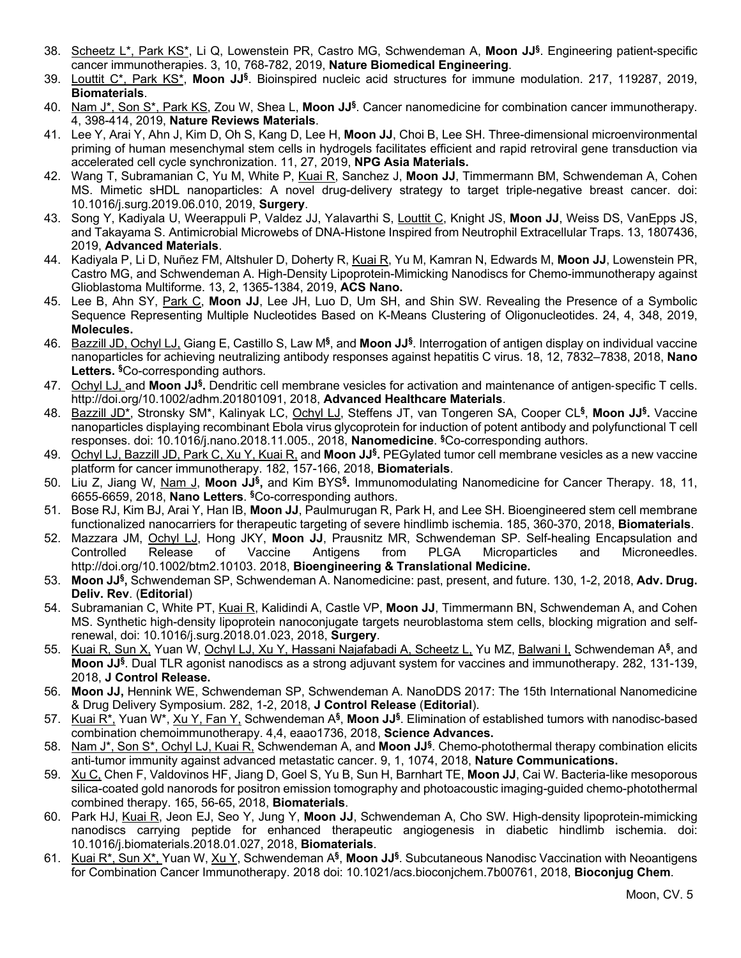- 38. Scheetz L\*, Park KS\*, Li Q, Lowenstein PR, Castro MG, Schwendeman A, **Moon JJ§**. Engineering patient-specific cancer immunotherapies. 3, 10, 768-782, 2019, **Nature Biomedical Engineering**.
- 39. Louttit C\*, Park KS\*, **Moon JJ§**. Bioinspired nucleic acid structures for immune modulation. 217, 119287, 2019, **Biomaterials**.
- 40. Nam J\*, Son S\*, Park KS, Zou W, Shea L, **Moon JJ§**. Cancer nanomedicine for combination cancer immunotherapy. 4, 398-414, 2019, **Nature Reviews Materials**.
- 41. Lee Y, Arai Y, Ahn J, Kim D, Oh S, Kang D, Lee H, **Moon JJ**, Choi B, Lee SH. Three-dimensional microenvironmental priming of human mesenchymal stem cells in hydrogels facilitates efficient and rapid retroviral gene transduction via accelerated cell cycle synchronization. 11, 27, 2019, **NPG Asia Materials.**
- 42. Wang T, Subramanian C, Yu M, White P, Kuai R, Sanchez J, **Moon JJ**, Timmermann BM, Schwendeman A, Cohen MS. Mimetic sHDL nanoparticles: A novel drug-delivery strategy to target triple-negative breast cancer. doi: 10.1016/j.surg.2019.06.010, 2019, **Surgery**.
- 43. Song Y, Kadiyala U, Weerappuli P, Valdez JJ, Yalavarthi S, Louttit C, Knight JS, **Moon JJ**, Weiss DS, VanEpps JS, and Takayama S. Antimicrobial Microwebs of DNA-Histone Inspired from Neutrophil Extracellular Traps. 13, 1807436, 2019, **Advanced Materials**.
- 44. Kadiyala P, Li D, Nuñez FM, Altshuler D, Doherty R, Kuai R, Yu M, Kamran N, Edwards M, **Moon JJ**, Lowenstein PR, Castro MG, and Schwendeman A. High-Density Lipoprotein-Mimicking Nanodiscs for Chemo-immunotherapy against Glioblastoma Multiforme. 13, 2, 1365-1384, 2019, **ACS Nano.**
- 45. Lee B, Ahn SY, Park C, **Moon JJ**, Lee JH, Luo D, Um SH, and Shin SW. Revealing the Presence of a Symbolic Sequence Representing Multiple Nucleotides Based on K-Means Clustering of Oligonucleotides. 24, 4, 348, 2019, **Molecules.**
- 46. Bazzill JD, Ochyl LJ, Giang E, Castillo S, Law M**§**, and **Moon JJ§**. Interrogation of antigen display on individual vaccine nanoparticles for achieving neutralizing antibody responses against hepatitis C virus. 18, 12, 7832–7838, 2018, **Nano Letters. §**Co-corresponding authors.
- 47. Ochyl LJ, and **Moon JJ§.** Dendritic cell membrane vesicles for activation and maintenance of antigen-specific T cells. http://doi.org/10.1002/adhm.201801091, 2018, **Advanced Healthcare Materials**.
- 48. Bazzill JD\*, Stronsky SM\*, Kalinyak LC, Ochyl LJ, Steffens JT, van Tongeren SA, Cooper CL**§**, **Moon JJ§.** Vaccine nanoparticles displaying recombinant Ebola virus glycoprotein for induction of potent antibody and polyfunctional T cell responses. doi: 10.1016/j.nano.2018.11.005., 2018, **Nanomedicine**. **§**Co-corresponding authors.
- 49. Ochyl LJ, Bazzill JD, Park C, Xu Y, Kuai R, and **Moon JJ§.** PEGylated tumor cell membrane vesicles as a new vaccine platform for cancer immunotherapy. 182, 157-166, 2018, **Biomaterials**.
- 50. Liu Z, Jiang W, Nam J, **Moon JJ§,** and Kim BYS**§.** Immunomodulating Nanomedicine for Cancer Therapy. 18, 11, 6655-6659, 2018, **Nano Letters**. **§**Co-corresponding authors.
- 51. Bose RJ, Kim BJ, Arai Y, Han IB, **Moon JJ**, Paulmurugan R, Park H, and Lee SH. Bioengineered stem cell membrane functionalized nanocarriers for therapeutic targeting of severe hindlimb ischemia. 185, 360-370, 2018, **Biomaterials**.
- 52. Mazzara JM, Ochyl LJ, Hong JKY, **Moon JJ**, Prausnitz MR, Schwendeman SP. Self-healing Encapsulation and Controlled Release of Vaccine Antigens from PLGA Microparticles and Microneedles. http://doi.org/10.1002/btm2.10103. 2018, **Bioengineering & Translational Medicine.**
- 53. **Moon JJ§,** Schwendeman SP, Schwendeman A. Nanomedicine: past, present, and future. 130, 1-2, 2018, **Adv. Drug. Deliv. Rev**. (**Editorial**)
- 54. Subramanian C, White PT, Kuai R, Kalidindi A, Castle VP, **Moon JJ**, Timmermann BN, Schwendeman A, and Cohen MS. Synthetic high-density lipoprotein nanoconjugate targets neuroblastoma stem cells, blocking migration and selfrenewal, doi: 10.1016/j.surg.2018.01.023, 2018, **Surgery**.
- 55. Kuai R, Sun X, Yuan W, Ochyl LJ, Xu Y, Hassani Najafabadi A, Scheetz L, Yu MZ, Balwani I, Schwendeman A**§**, and **Moon JJ§**. Dual TLR agonist nanodiscs as a strong adjuvant system for vaccines and immunotherapy. 282, 131-139, 2018, **J Control Release.**
- 56. **Moon JJ,** Hennink WE, Schwendeman SP, Schwendeman A. NanoDDS 2017: The 15th International Nanomedicine & Drug Delivery Symposium. 282, 1-2, 2018, **J Control Release** (**Editorial**).
- 57. Kuai R\*, Yuan W\*, Xu Y, Fan Y, Schwendeman A**§**, **Moon JJ§**. Elimination of established tumors with nanodisc-based combination chemoimmunotherapy. 4,4, eaao1736, 2018, **Science Advances.**
- 58. Nam J\*, Son S\*, Ochyl LJ, Kuai R, Schwendeman A, and **Moon JJ§**. Chemo-photothermal therapy combination elicits anti-tumor immunity against advanced metastatic cancer. 9, 1, 1074, 2018, **Nature Communications.**
- 59. Xu C, Chen F, Valdovinos HF, Jiang D, Goel S, Yu B, Sun H, Barnhart TE, **Moon JJ**, Cai W. Bacteria-like mesoporous silica-coated gold nanorods for positron emission tomography and photoacoustic imaging-guided chemo-photothermal combined therapy. 165, 56-65, 2018, **Biomaterials**.
- 60. Park HJ, Kuai R, Jeon EJ, Seo Y, Jung Y, **Moon JJ**, Schwendeman A, Cho SW. High-density lipoprotein-mimicking nanodiscs carrying peptide for enhanced therapeutic angiogenesis in diabetic hindlimb ischemia. doi: 10.1016/j.biomaterials.2018.01.027, 2018, **Biomaterials**.
- 61. Kuai R\*, Sun X\*, Yuan W, Xu Y, Schwendeman A**§**, **Moon JJ§**. Subcutaneous Nanodisc Vaccination with Neoantigens for Combination Cancer Immunotherapy. 2018 doi: 10.1021/acs.bioconjchem.7b00761, 2018, **Bioconjug Chem**.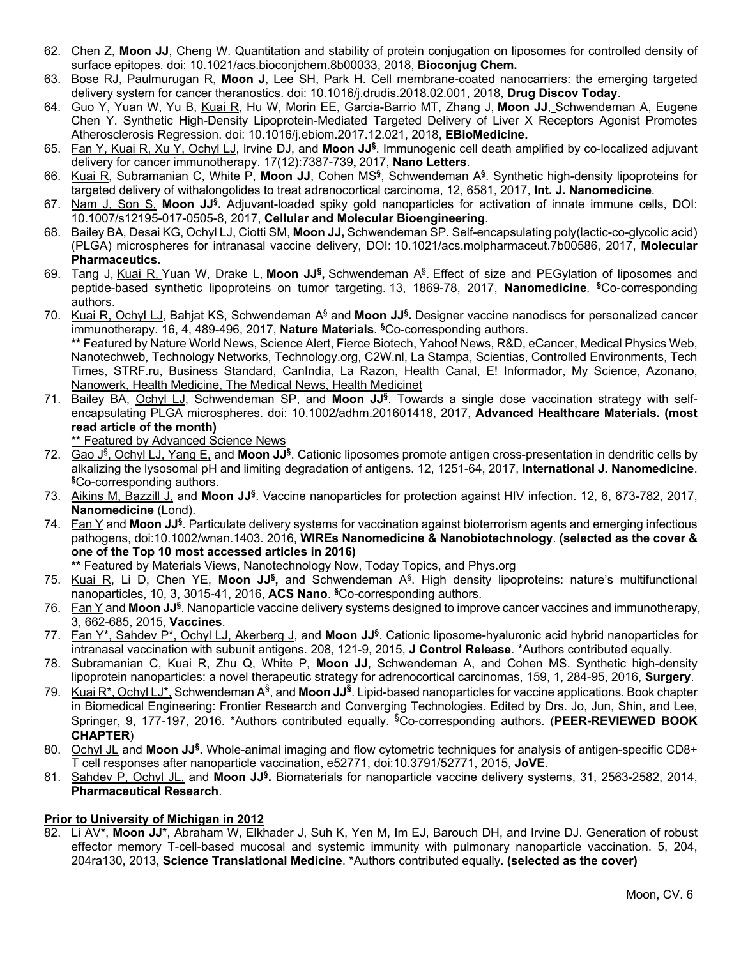- 62. Chen Z, **Moon JJ**, Cheng W. Quantitation and stability of protein conjugation on liposomes for controlled density of surface epitopes. doi: 10.1021/acs.bioconjchem.8b00033, 2018, **Bioconjug Chem.**
- 63. Bose RJ, Paulmurugan R, **Moon J**, Lee SH, Park H. Cell membrane-coated nanocarriers: the emerging targeted delivery system for cancer theranostics. doi: 10.1016/j.drudis.2018.02.001, 2018, **Drug Discov Today**.
- 64. Guo Y, Yuan W, Yu B, Kuai R, Hu W, Morin EE, Garcia-Barrio MT, Zhang J, **Moon JJ**, Schwendeman A, Eugene Chen Y. Synthetic High-Density Lipoprotein-Mediated Targeted Delivery of Liver X Receptors Agonist Promotes Atherosclerosis Regression. doi: 10.1016/j.ebiom.2017.12.021, 2018, **EBioMedicine.**
- 65. Fan Y, Kuai R, Xu Y, Ochyl LJ, Irvine DJ, and **Moon JJ§**. Immunogenic cell death amplified by co-localized adjuvant delivery for cancer immunotherapy. 17(12):7387-739, 2017, **Nano Letters**.
- 66. Kuai R, Subramanian C, White P, **Moon JJ**, Cohen MS**§**, Schwendeman A**§**. Synthetic high-density lipoproteins for targeted delivery of withalongolides to treat adrenocortical carcinoma, 12, 6581, 2017, **Int. J. Nanomedicine***.*
- 67. Nam J, Son S, **Moon JJ§.** Adjuvant-loaded spiky gold nanoparticles for activation of innate immune cells, DOI: 10.1007/s12195-017-0505-8, 2017, **Cellular and Molecular Bioengineering**.
- 68. Bailey BA, Desai KG, Ochyl LJ, Ciotti SM, **Moon JJ,** Schwendeman SP. Self-encapsulating poly(lactic-co-glycolic acid) (PLGA) microspheres for intranasal vaccine delivery, DOI: 10.1021/acs.molpharmaceut.7b00586, 2017, **Molecular Pharmaceutics**.
- 69. Tang J, Kuai R, Yuan W, Drake L, **Moon JJ§,** Schwendeman A§. Effect of size and PEGylation of liposomes and peptide-based synthetic lipoproteins on tumor targeting. 13, 1869-78, 2017, **Nanomedicine***.* **§**Co-corresponding authors.
- 70. Kuai R, Ochyl LJ, Bahjat KS, Schwendeman A§ and **Moon JJ§.** Designer vaccine nanodiscs for personalized cancer immunotherapy. 16, 4, 489-496, 2017, **Nature Materials***.* **§**Co-corresponding authors. **\*\*** Featured by Nature World News, Science Alert, Fierce Biotech, Yahoo! News, R&D, eCancer, Medical Physics Web, Nanotechweb, Technology Networks, Technology.org, C2W.nl, La Stampa, Scientias, Controlled Environments, Tech Times, STRF.ru, Business Standard, CanIndia, La Razon, Health Canal, E! Informador, My Science, Azonano, Nanowerk, Health Medicine, The Medical News, Health Medicinet
- 71. Bailey BA, Ochyl LJ, Schwendeman SP, and **Moon JJ§**. Towards a single dose vaccination strategy with selfencapsulating PLGA microspheres. doi: 10.1002/adhm.201601418, 2017, **Advanced Healthcare Materials. (most read article of the month)**

**\*\*** Featured by Advanced Science News

- 72. Gao J§, Ochyl LJ, Yang E, and **Moon JJ§**. Cationic liposomes promote antigen cross-presentation in dendritic cells by alkalizing the lysosomal pH and limiting degradation of antigens. 12, 1251-64, 2017, **International J. Nanomedicine**. **§**Co-corresponding authors.
- 73. Aikins M, Bazzill J, and **Moon JJ§**. Vaccine nanoparticles for protection against HIV infection. 12, 6, 673-782, 2017, **Nanomedicine** (Lond).
- 74. Fan Y and **Moon JJ§**. Particulate delivery systems for vaccination against bioterrorism agents and emerging infectious pathogens, doi:10.1002/wnan.1403. 2016, **WIREs Nanomedicine & Nanobiotechnology**. **(selected as the cover & one of the Top 10 most accessed articles in 2016)**

**\*\*** Featured by Materials Views, Nanotechnology Now, Today Topics, and Phys.org

- 75. Kuai R, Li D, Chen YE, **Moon JJ§,** and Schwendeman A§. High density lipoproteins: nature's multifunctional nanoparticles, 10, 3, 3015-41, 2016, **ACS Nano**. **§**Co-corresponding authors.
- 76. Fan Y and **Moon JJ§**. Nanoparticle vaccine delivery systems designed to improve cancer vaccines and immunotherapy, 3, 662-685, 2015, **Vaccines**.
- 77. Fan Y\*, Sahdev P\*, Ochyl LJ, Akerberg J, and **Moon JJ§**. Cationic liposome-hyaluronic acid hybrid nanoparticles for intranasal vaccination with subunit antigens. 208, 121-9, 2015, **J Control Release**. \*Authors contributed equally.
- 78. Subramanian C, Kuai R, Zhu Q, White P, **Moon JJ**, Schwendeman A, and Cohen MS. Synthetic high-density lipoprotein nanoparticles: a novel therapeutic strategy for adrenocortical carcinomas, 159, 1, 284-95, 2016, **Surgery**.
- 79. Kuai R\*, Ochyl LJ\*, Schwendeman A<sup>§</sup>, and **Moon JJ<sup>§</sup>.** Lipid-based nanoparticles for vaccine applications. Book chapter in Biomedical Engineering: Frontier Research and Converging Technologies. Edited by Drs. Jo, Jun, Shin, and Lee, Springer, 9, 177-197, 2016. \*Authors contributed equally. § Co-corresponding authors. (**PEER-REVIEWED BOOK CHAPTER**)
- 80. Ochyl JL and **Moon JJ§.** Whole-animal imaging and flow cytometric techniques for analysis of antigen-specific CD8+ T cell responses after nanoparticle vaccination, e52771, doi:10.3791/52771, 2015, **JoVE**.
- 81. Sahdev P, Ochyl JL, and **Moon JJ§.** Biomaterials for nanoparticle vaccine delivery systems, 31, 2563-2582, 2014, **Pharmaceutical Research**.

### **Prior to University of Michigan in 2012**

82. Li AV\*, **Moon JJ**\*, Abraham W, Elkhader J, Suh K, Yen M, Im EJ, Barouch DH, and Irvine DJ. Generation of robust effector memory T-cell-based mucosal and systemic immunity with pulmonary nanoparticle vaccination. 5, 204, 204ra130, 2013, **Science Translational Medicine**. \*Authors contributed equally. **(selected as the cover)**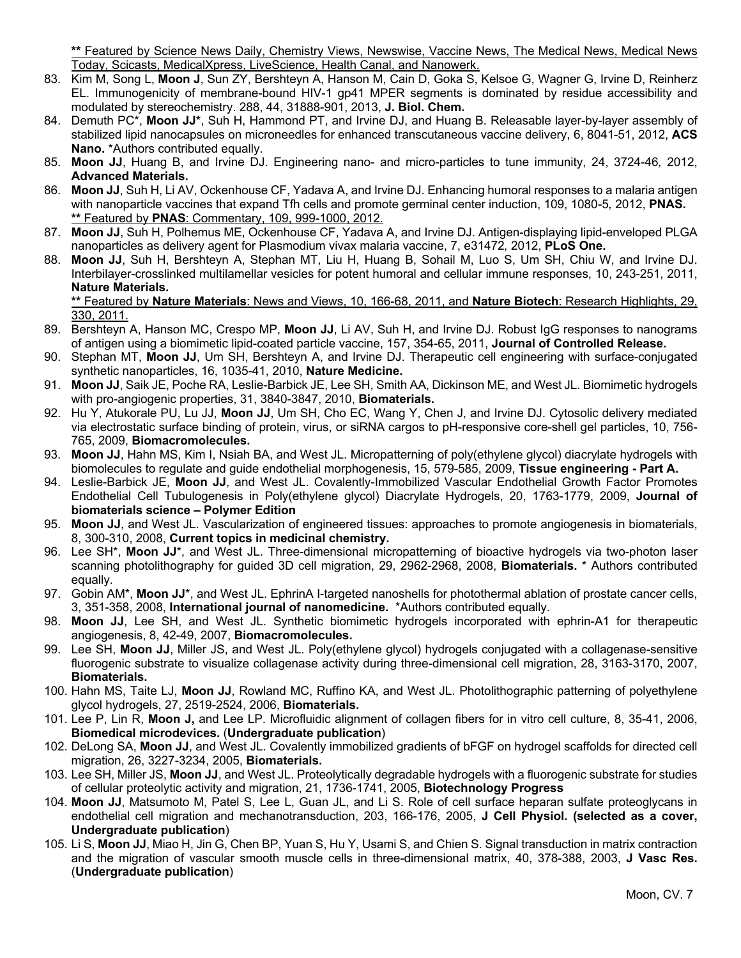**\*\*** Featured by Science News Daily, Chemistry Views, Newswise, Vaccine News, The Medical News, Medical News Today, Scicasts, MedicalXpress, LiveScience, Health Canal, and Nanowerk.

- 83. Kim M, Song L, **Moon J**, Sun ZY, Bershteyn A, Hanson M, Cain D, Goka S, Kelsoe G, Wagner G, Irvine D, Reinherz EL. Immunogenicity of membrane-bound HIV-1 gp41 MPER segments is dominated by residue accessibility and modulated by stereochemistry. 288, 44, 31888-901, 2013, **J. Biol. Chem.**
- 84. Demuth PC\*, **Moon JJ\***, Suh H, Hammond PT, and Irvine DJ, and Huang B. Releasable layer-by-layer assembly of stabilized lipid nanocapsules on microneedles for enhanced transcutaneous vaccine delivery, 6, 8041-51, 2012, **ACS Nano.** \*Authors contributed equally.
- 85. **Moon JJ**, Huang B, and Irvine DJ. Engineering nano- and micro-particles to tune immunity, 24, 3724-46*,* 2012, **Advanced Materials.**
- 86. **Moon JJ**, Suh H, Li AV, Ockenhouse CF, Yadava A, and Irvine DJ. Enhancing humoral responses to a malaria antigen with nanoparticle vaccines that expand Tfh cells and promote germinal center induction, 109, 1080-5*,* 2012, **PNAS. \*\*** Featured by **PNAS**: Commentary, 109, 999-1000, 2012.
- 87. **Moon JJ**, Suh H, Polhemus ME, Ockenhouse CF, Yadava A, and Irvine DJ. Antigen-displaying lipid-enveloped PLGA nanoparticles as delivery agent for Plasmodium vivax malaria vaccine, 7, e31472*,* 2012, **PLoS One.**
- 88. **Moon JJ**, Suh H, Bershteyn A, Stephan MT, Liu H, Huang B, Sohail M, Luo S, Um SH, Chiu W, and Irvine DJ. Interbilayer-crosslinked multilamellar vesicles for potent humoral and cellular immune responses, 10, 243-251, 2011, **Nature Materials.**

**\*\*** Featured by **Nature Materials**: News and Views, 10, 166-68, 2011, and **Nature Biotech**: Research Highlights, 29, 330, 2011.

- 89. Bershteyn A, Hanson MC, Crespo MP, **Moon JJ**, Li AV, Suh H, and Irvine DJ. Robust IgG responses to nanograms of antigen using a biomimetic lipid-coated particle vaccine, 157, 354-65, 2011, **Journal of Controlled Release.**
- 90. Stephan MT, **Moon JJ**, Um SH, Bershteyn A, and Irvine DJ. Therapeutic cell engineering with surface-conjugated synthetic nanoparticles, 16, 1035-41, 2010, **Nature Medicine.**
- 91. **Moon JJ**, Saik JE, Poche RA, Leslie-Barbick JE, Lee SH, Smith AA, Dickinson ME, and West JL. Biomimetic hydrogels with pro-angiogenic properties, 31, 3840-3847, 2010, **Biomaterials.**
- 92. Hu Y, Atukorale PU, Lu JJ, **Moon JJ**, Um SH, Cho EC, Wang Y, Chen J, and Irvine DJ. Cytosolic delivery mediated via electrostatic surface binding of protein, virus, or siRNA cargos to pH-responsive core-shell gel particles, 10, 756- 765, 2009, **Biomacromolecules.**
- 93. **Moon JJ**, Hahn MS, Kim I, Nsiah BA, and West JL. Micropatterning of poly(ethylene glycol) diacrylate hydrogels with biomolecules to regulate and guide endothelial morphogenesis, 15, 579-585, 2009, **Tissue engineering - Part A.**
- 94. Leslie-Barbick JE, **Moon JJ**, and West JL. Covalently-Immobilized Vascular Endothelial Growth Factor Promotes Endothelial Cell Tubulogenesis in Poly(ethylene glycol) Diacrylate Hydrogels, 20, 1763-1779, 2009, **Journal of biomaterials science – Polymer Edition**
- 95. **Moon JJ**, and West JL. Vascularization of engineered tissues: approaches to promote angiogenesis in biomaterials, 8, 300-310, 2008, **Current topics in medicinal chemistry.**
- 96. Lee SH\*, **Moon JJ**\*, and West JL. Three-dimensional micropatterning of bioactive hydrogels via two-photon laser scanning photolithography for guided 3D cell migration, 29, 2962-2968, 2008, **Biomaterials.** \* Authors contributed equally.
- 97. Gobin AM<sup>\*</sup>, Moon JJ<sup>\*</sup>, and West JL. EphrinA I-targeted nanoshells for photothermal ablation of prostate cancer cells, 3, 351-358, 2008, **International journal of nanomedicine.** \*Authors contributed equally.
- 98. **Moon JJ**, Lee SH, and West JL. Synthetic biomimetic hydrogels incorporated with ephrin-A1 for therapeutic angiogenesis, 8, 42-49, 2007, **Biomacromolecules.**
- 99. Lee SH, **Moon JJ**, Miller JS, and West JL. Poly(ethylene glycol) hydrogels conjugated with a collagenase-sensitive fluorogenic substrate to visualize collagenase activity during three-dimensional cell migration, 28, 3163-3170, 2007, **Biomaterials.**
- 100. Hahn MS, Taite LJ, **Moon JJ**, Rowland MC, Ruffino KA, and West JL. Photolithographic patterning of polyethylene glycol hydrogels, 27, 2519-2524, 2006, **Biomaterials.**
- 101. Lee P, Lin R, **Moon J,** and Lee LP. Microfluidic alignment of collagen fibers for in vitro cell culture, 8, 35-41, 2006, **Biomedical microdevices.** (**Undergraduate publication**)
- 102. DeLong SA, **Moon JJ**, and West JL. Covalently immobilized gradients of bFGF on hydrogel scaffolds for directed cell migration, 26, 3227-3234, 2005, **Biomaterials.**
- 103. Lee SH, Miller JS, **Moon JJ**, and West JL. Proteolytically degradable hydrogels with a fluorogenic substrate for studies of cellular proteolytic activity and migration, 21, 1736-1741, 2005, **Biotechnology Progress**
- 104. **Moon JJ**, Matsumoto M, Patel S, Lee L, Guan JL, and Li S. Role of cell surface heparan sulfate proteoglycans in endothelial cell migration and mechanotransduction, 203, 166-176, 2005, **J Cell Physiol. (selected as a cover, Undergraduate publication**)
- 105. Li S, **Moon JJ**, Miao H, Jin G, Chen BP, Yuan S, Hu Y, Usami S, and Chien S. Signal transduction in matrix contraction and the migration of vascular smooth muscle cells in three-dimensional matrix, 40, 378-388, 2003, **J Vasc Res.** (**Undergraduate publication**)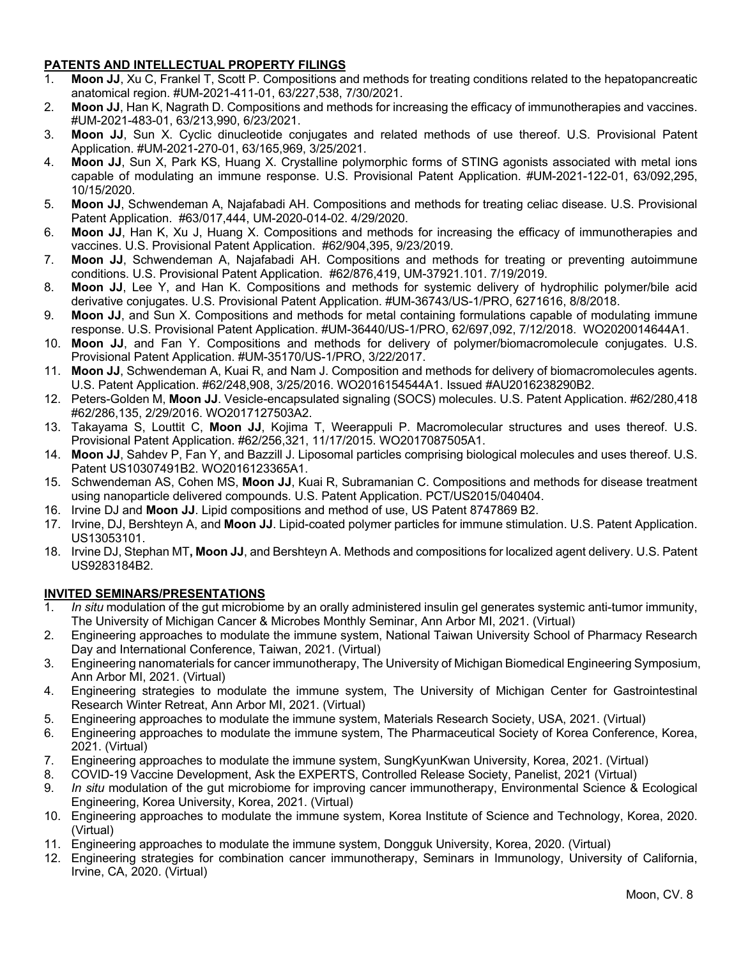# **PATENTS AND INTELLECTUAL PROPERTY FILINGS**

- 1. **Moon JJ**, Xu C, Frankel T, Scott P. Compositions and methods for treating conditions related to the hepatopancreatic anatomical region. #UM-2021-411-01, 63/227,538, 7/30/2021.
- 2. **Moon JJ**, Han K, Nagrath D. Compositions and methods for increasing the efficacy of immunotherapies and vaccines. #UM-2021-483-01, 63/213,990, 6/23/2021.
- 3. **Moon JJ**, Sun X. Cyclic dinucleotide conjugates and related methods of use thereof. U.S. Provisional Patent Application. #UM-2021-270-01, 63/165,969, 3/25/2021.
- 4. **Moon JJ**, Sun X, Park KS, Huang X. Crystalline polymorphic forms of STING agonists associated with metal ions capable of modulating an immune response. U.S. Provisional Patent Application. #UM-2021-122-01, 63/092,295, 10/15/2020.
- 5. **Moon JJ**, Schwendeman A, Najafabadi AH. Compositions and methods for treating celiac disease. U.S. Provisional Patent Application. #63/017,444, UM-2020-014-02. 4/29/2020.
- 6. **Moon JJ**, Han K, Xu J, Huang X. Compositions and methods for increasing the efficacy of immunotherapies and vaccines. U.S. Provisional Patent Application. #62/904,395, 9/23/2019.
- 7. **Moon JJ**, Schwendeman A, Najafabadi AH. Compositions and methods for treating or preventing autoimmune conditions. U.S. Provisional Patent Application. #62/876,419, UM-37921.101. 7/19/2019.
- 8. **Moon JJ**, Lee Y, and Han K. Compositions and methods for systemic delivery of hydrophilic polymer/bile acid derivative conjugates. U.S. Provisional Patent Application. #UM-36743/US-1/PRO, 6271616, 8/8/2018.
- 9. **Moon JJ**, and Sun X. Compositions and methods for metal containing formulations capable of modulating immune response. U.S. Provisional Patent Application. #UM-36440/US-1/PRO, 62/697,092, 7/12/2018. WO2020014644A1.
- 10. **Moon JJ**, and Fan Y. Compositions and methods for delivery of polymer/biomacromolecule conjugates. U.S. Provisional Patent Application. #UM-35170/US-1/PRO, 3/22/2017.
- 11. **Moon JJ**, Schwendeman A, Kuai R, and Nam J. Composition and methods for delivery of biomacromolecules agents. U.S. Patent Application. #62/248,908, 3/25/2016. WO2016154544A1. Issued #AU2016238290B2.
- 12. Peters-Golden M, **Moon JJ**. Vesicle-encapsulated signaling (SOCS) molecules. U.S. Patent Application. #62/280,418 #62/286,135, 2/29/2016. WO2017127503A2.
- 13. Takayama S, Louttit C, **Moon JJ**, Kojima T, Weerappuli P. Macromolecular structures and uses thereof. U.S. Provisional Patent Application. #62/256,321, 11/17/2015. WO2017087505A1.
- 14. **Moon JJ**, Sahdev P, Fan Y, and Bazzill J. Liposomal particles comprising biological molecules and uses thereof. U.S. Patent US10307491B2. WO2016123365A1.
- 15. Schwendeman AS, Cohen MS, **Moon JJ**, Kuai R, Subramanian C. Compositions and methods for disease treatment using nanoparticle delivered compounds. U.S. Patent Application. PCT/US2015/040404.
- 16. Irvine DJ and **Moon JJ**. Lipid compositions and method of use, US Patent 8747869 B2.
- 17. Irvine, DJ, Bershteyn A, and **Moon JJ**. Lipid-coated polymer particles for immune stimulation. U.S. Patent Application. US13053101.
- 18. Irvine DJ, Stephan MT**, Moon JJ**, and Bershteyn A. Methods and compositions for localized agent delivery. U.S. Patent US9283184B2.

### **INVITED SEMINARS/PRESENTATIONS**

- In situ modulation of the gut microbiome by an orally administered insulin gel generates systemic anti-tumor immunity, The University of Michigan Cancer & Microbes Monthly Seminar, Ann Arbor MI, 2021. (Virtual)
- 2. Engineering approaches to modulate the immune system, National Taiwan University School of Pharmacy Research Day and International Conference, Taiwan, 2021. (Virtual)
- 3. Engineering nanomaterials for cancer immunotherapy, The University of Michigan Biomedical Engineering Symposium, Ann Arbor MI, 2021. (Virtual)
- 4. Engineering strategies to modulate the immune system, The University of Michigan Center for Gastrointestinal Research Winter Retreat, Ann Arbor MI, 2021. (Virtual)
- 5. Engineering approaches to modulate the immune system, Materials Research Society, USA, 2021. (Virtual)
- 6. Engineering approaches to modulate the immune system, The Pharmaceutical Society of Korea Conference, Korea, 2021. (Virtual)
- 7. Engineering approaches to modulate the immune system, SungKyunKwan University, Korea, 2021. (Virtual)
- 8. COVID-19 Vaccine Development, Ask the EXPERTS, Controlled Release Society, Panelist, 2021 (Virtual)
- 9. *In situ* modulation of the gut microbiome for improving cancer immunotherapy, Environmental Science & Ecological Engineering, Korea University, Korea, 2021. (Virtual)
- 10. Engineering approaches to modulate the immune system, Korea Institute of Science and Technology, Korea, 2020. (Virtual)
- 11. Engineering approaches to modulate the immune system, Dongguk University, Korea, 2020. (Virtual)
- 12. Engineering strategies for combination cancer immunotherapy, Seminars in Immunology, University of California, Irvine, CA, 2020. (Virtual)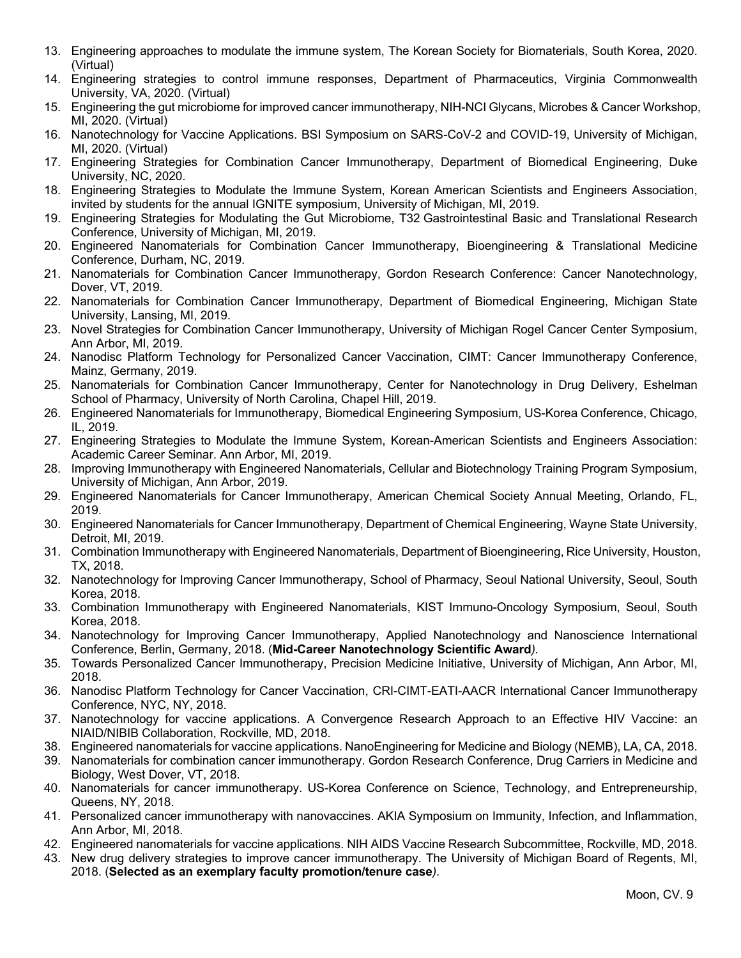- 13. Engineering approaches to modulate the immune system, The Korean Society for Biomaterials, South Korea, 2020. (Virtual)
- 14. Engineering strategies to control immune responses, Department of Pharmaceutics, Virginia Commonwealth University, VA, 2020. (Virtual)
- 15. Engineering the gut microbiome for improved cancer immunotherapy, NIH-NCI Glycans, Microbes & Cancer Workshop, MI, 2020. (Virtual)
- 16. Nanotechnology for Vaccine Applications. BSI Symposium on SARS-CoV-2 and COVID-19, University of Michigan, MI, 2020. (Virtual)
- 17. Engineering Strategies for Combination Cancer Immunotherapy, Department of Biomedical Engineering, Duke University, NC, 2020.
- 18. Engineering Strategies to Modulate the Immune System, Korean American Scientists and Engineers Association, invited by students for the annual IGNITE symposium, University of Michigan, MI, 2019.
- 19. Engineering Strategies for Modulating the Gut Microbiome, T32 Gastrointestinal Basic and Translational Research Conference, University of Michigan, MI, 2019.
- 20. Engineered Nanomaterials for Combination Cancer Immunotherapy, Bioengineering & Translational Medicine Conference, Durham, NC, 2019.
- 21. Nanomaterials for Combination Cancer Immunotherapy, Gordon Research Conference: Cancer Nanotechnology, Dover, VT, 2019.
- 22. Nanomaterials for Combination Cancer Immunotherapy, Department of Biomedical Engineering, Michigan State University, Lansing, MI, 2019.
- 23. Novel Strategies for Combination Cancer Immunotherapy, University of Michigan Rogel Cancer Center Symposium, Ann Arbor, MI, 2019.
- 24. Nanodisc Platform Technology for Personalized Cancer Vaccination, CIMT: Cancer Immunotherapy Conference, Mainz, Germany, 2019.
- 25. Nanomaterials for Combination Cancer Immunotherapy, Center for Nanotechnology in Drug Delivery, Eshelman School of Pharmacy, University of North Carolina, Chapel Hill, 2019.
- 26. Engineered Nanomaterials for Immunotherapy, Biomedical Engineering Symposium, US-Korea Conference, Chicago, IL, 2019.
- 27. Engineering Strategies to Modulate the Immune System, Korean-American Scientists and Engineers Association: Academic Career Seminar. Ann Arbor, MI, 2019.
- 28. Improving Immunotherapy with Engineered Nanomaterials, Cellular and Biotechnology Training Program Symposium, University of Michigan, Ann Arbor, 2019.
- 29. Engineered Nanomaterials for Cancer Immunotherapy, American Chemical Society Annual Meeting, Orlando, FL, 2019.
- 30. Engineered Nanomaterials for Cancer Immunotherapy, Department of Chemical Engineering, Wayne State University, Detroit, MI, 2019.
- 31. Combination Immunotherapy with Engineered Nanomaterials, Department of Bioengineering, Rice University, Houston, TX, 2018.
- 32. Nanotechnology for Improving Cancer Immunotherapy, School of Pharmacy, Seoul National University, Seoul, South Korea, 2018.
- 33. Combination Immunotherapy with Engineered Nanomaterials, KIST Immuno-Oncology Symposium, Seoul, South Korea, 2018.
- 34. Nanotechnology for Improving Cancer Immunotherapy, Applied Nanotechnology and Nanoscience International Conference, Berlin, Germany, 2018. (**Mid-Career Nanotechnology Scientific Award***).*
- 35. Towards Personalized Cancer Immunotherapy, Precision Medicine Initiative, University of Michigan, Ann Arbor, MI, 2018.
- 36. Nanodisc Platform Technology for Cancer Vaccination, CRI-CIMT-EATI-AACR International Cancer Immunotherapy Conference, NYC, NY, 2018.
- 37. Nanotechnology for vaccine applications. A Convergence Research Approach to an Effective HIV Vaccine: an NIAID/NIBIB Collaboration, Rockville, MD, 2018.
- 38. Engineered nanomaterials for vaccine applications. NanoEngineering for Medicine and Biology (NEMB), LA, CA, 2018.
- 39. Nanomaterials for combination cancer immunotherapy. Gordon Research Conference, Drug Carriers in Medicine and Biology, West Dover, VT, 2018.
- 40. Nanomaterials for cancer immunotherapy. US-Korea Conference on Science, Technology, and Entrepreneurship, Queens, NY, 2018.
- 41. Personalized cancer immunotherapy with nanovaccines. AKIA Symposium on Immunity, Infection, and Inflammation, Ann Arbor, MI, 2018.
- 42. Engineered nanomaterials for vaccine applications. NIH AIDS Vaccine Research Subcommittee, Rockville, MD, 2018.
- 43. New drug delivery strategies to improve cancer immunotherapy. The University of Michigan Board of Regents, MI, 2018. (**Selected as an exemplary faculty promotion/tenure case***).*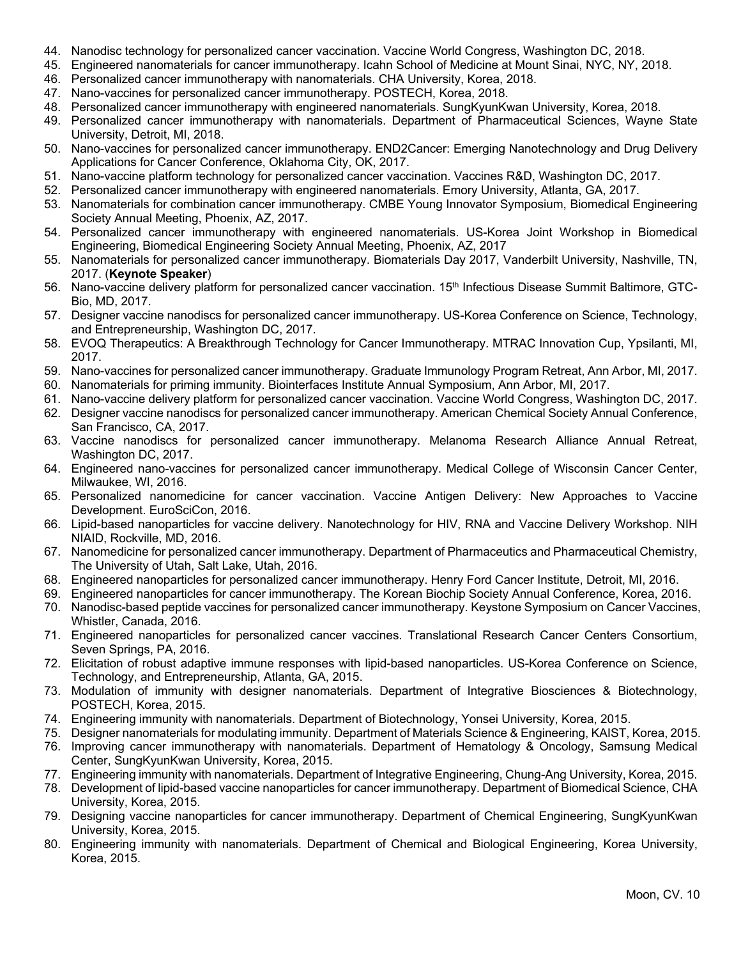- 44. Nanodisc technology for personalized cancer vaccination. Vaccine World Congress, Washington DC, 2018.
- 45. Engineered nanomaterials for cancer immunotherapy. Icahn School of Medicine at Mount Sinai, NYC, NY, 2018.
- 46. Personalized cancer immunotherapy with nanomaterials. CHA University, Korea, 2018.
- 47. Nano-vaccines for personalized cancer immunotherapy. POSTECH, Korea, 2018.
- 48. Personalized cancer immunotherapy with engineered nanomaterials. SungKyunKwan University, Korea, 2018.
- 49. Personalized cancer immunotherapy with nanomaterials. Department of Pharmaceutical Sciences, Wayne State University, Detroit, MI, 2018.
- 50. Nano-vaccines for personalized cancer immunotherapy. END2Cancer: Emerging Nanotechnology and Drug Delivery Applications for Cancer Conference, Oklahoma City, OK, 2017.
- 51. Nano-vaccine platform technology for personalized cancer vaccination. Vaccines R&D, Washington DC, 2017.
- 52. Personalized cancer immunotherapy with engineered nanomaterials. Emory University, Atlanta, GA, 2017.
- 53. Nanomaterials for combination cancer immunotherapy. CMBE Young Innovator Symposium, Biomedical Engineering Society Annual Meeting, Phoenix, AZ, 2017.
- 54. Personalized cancer immunotherapy with engineered nanomaterials. US-Korea Joint Workshop in Biomedical Engineering, Biomedical Engineering Society Annual Meeting, Phoenix, AZ, 2017
- 55. Nanomaterials for personalized cancer immunotherapy. Biomaterials Day 2017, Vanderbilt University, Nashville, TN, 2017. (**Keynote Speaker**)
- 56. Nano-vaccine delivery platform for personalized cancer vaccination. 15<sup>th</sup> Infectious Disease Summit Baltimore, GTC-Bio, MD, 2017.
- 57. Designer vaccine nanodiscs for personalized cancer immunotherapy. US-Korea Conference on Science, Technology, and Entrepreneurship, Washington DC, 2017.
- 58. EVOQ Therapeutics: A Breakthrough Technology for Cancer Immunotherapy. MTRAC Innovation Cup, Ypsilanti, MI, 2017.
- 59. Nano-vaccines for personalized cancer immunotherapy. Graduate Immunology Program Retreat, Ann Arbor, MI, 2017.
- 60. Nanomaterials for priming immunity. Biointerfaces Institute Annual Symposium, Ann Arbor, MI, 2017.
- 61. Nano-vaccine delivery platform for personalized cancer vaccination. Vaccine World Congress, Washington DC, 2017.
- 62. Designer vaccine nanodiscs for personalized cancer immunotherapy. American Chemical Society Annual Conference, San Francisco, CA, 2017.
- 63. Vaccine nanodiscs for personalized cancer immunotherapy. Melanoma Research Alliance Annual Retreat, Washington DC, 2017.
- 64. Engineered nano-vaccines for personalized cancer immunotherapy. Medical College of Wisconsin Cancer Center, Milwaukee, WI, 2016.
- 65. Personalized nanomedicine for cancer vaccination. Vaccine Antigen Delivery: New Approaches to Vaccine Development. EuroSciCon, 2016.
- 66. Lipid-based nanoparticles for vaccine delivery. Nanotechnology for HIV, RNA and Vaccine Delivery Workshop. NIH NIAID, Rockville, MD, 2016.
- 67. Nanomedicine for personalized cancer immunotherapy. Department of Pharmaceutics and Pharmaceutical Chemistry, The University of Utah, Salt Lake, Utah, 2016.
- 68. Engineered nanoparticles for personalized cancer immunotherapy. Henry Ford Cancer Institute, Detroit, MI, 2016.
- 69. Engineered nanoparticles for cancer immunotherapy. The Korean Biochip Society Annual Conference, Korea, 2016. 70. Nanodisc-based peptide vaccines for personalized cancer immunotherapy. Keystone Symposium on Cancer Vaccines,
- Whistler, Canada, 2016.
- 71. Engineered nanoparticles for personalized cancer vaccines. Translational Research Cancer Centers Consortium, Seven Springs, PA, 2016.
- 72. Elicitation of robust adaptive immune responses with lipid-based nanoparticles. US-Korea Conference on Science, Technology, and Entrepreneurship, Atlanta, GA, 2015.
- 73. Modulation of immunity with designer nanomaterials. Department of Integrative Biosciences & Biotechnology, POSTECH, Korea, 2015.
- 74. Engineering immunity with nanomaterials. Department of Biotechnology, Yonsei University, Korea, 2015.
- 75. Designer nanomaterials for modulating immunity. Department of Materials Science & Engineering, KAIST, Korea, 2015. 76. Improving cancer immunotherapy with nanomaterials. Department of Hematology & Oncology, Samsung Medical Center, SungKyunKwan University, Korea, 2015.
- 77. Engineering immunity with nanomaterials. Department of Integrative Engineering, Chung-Ang University, Korea, 2015.
- 78. Development of lipid-based vaccine nanoparticles for cancer immunotherapy. Department of Biomedical Science, CHA University, Korea, 2015.
- 79. Designing vaccine nanoparticles for cancer immunotherapy. Department of Chemical Engineering, SungKyunKwan University, Korea, 2015.
- 80. Engineering immunity with nanomaterials. Department of Chemical and Biological Engineering, Korea University, Korea, 2015.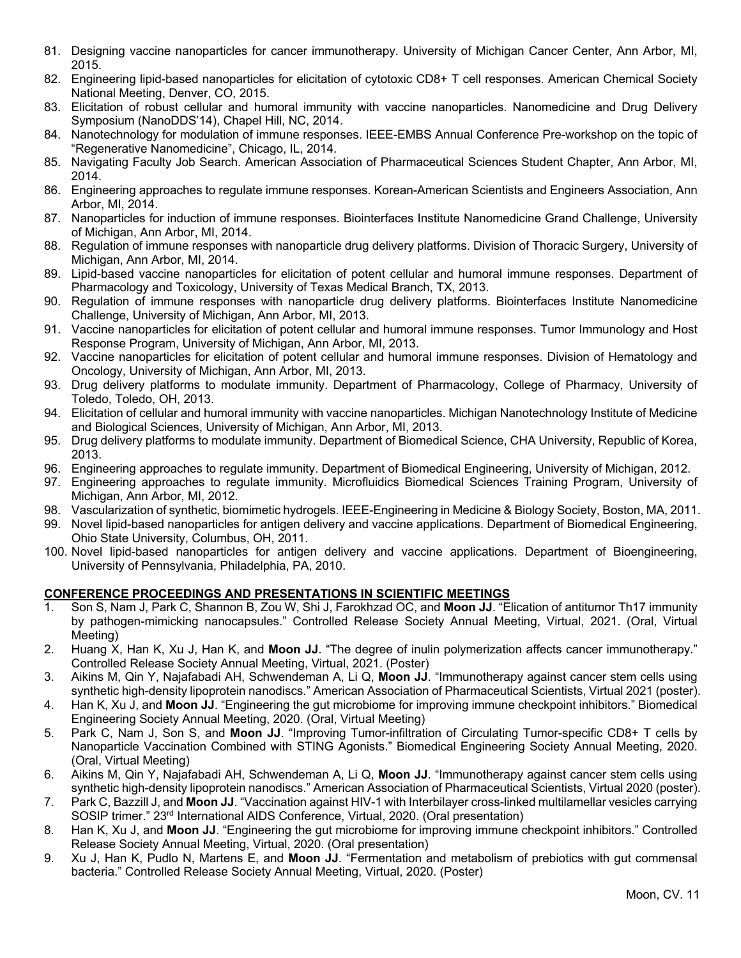- 81. Designing vaccine nanoparticles for cancer immunotherapy. University of Michigan Cancer Center, Ann Arbor, MI, 2015.
- 82. Engineering lipid-based nanoparticles for elicitation of cytotoxic CD8+ T cell responses. American Chemical Society National Meeting, Denver, CO, 2015.
- 83. Elicitation of robust cellular and humoral immunity with vaccine nanoparticles. Nanomedicine and Drug Delivery Symposium (NanoDDS'14), Chapel Hill, NC, 2014.
- 84. Nanotechnology for modulation of immune responses. IEEE-EMBS Annual Conference Pre-workshop on the topic of "Regenerative Nanomedicine", Chicago, IL, 2014.
- 85. Navigating Faculty Job Search. American Association of Pharmaceutical Sciences Student Chapter, Ann Arbor, MI, 2014.
- 86. Engineering approaches to regulate immune responses. Korean-American Scientists and Engineers Association, Ann Arbor, MI, 2014.
- 87. Nanoparticles for induction of immune responses. Biointerfaces Institute Nanomedicine Grand Challenge, University of Michigan, Ann Arbor, MI, 2014.
- 88. Regulation of immune responses with nanoparticle drug delivery platforms. Division of Thoracic Surgery, University of Michigan, Ann Arbor, MI, 2014.
- 89. Lipid-based vaccine nanoparticles for elicitation of potent cellular and humoral immune responses. Department of Pharmacology and Toxicology, University of Texas Medical Branch, TX, 2013.
- 90. Regulation of immune responses with nanoparticle drug delivery platforms. Biointerfaces Institute Nanomedicine Challenge, University of Michigan, Ann Arbor, MI, 2013.
- 91. Vaccine nanoparticles for elicitation of potent cellular and humoral immune responses. Tumor Immunology and Host Response Program, University of Michigan, Ann Arbor, MI, 2013.
- 92. Vaccine nanoparticles for elicitation of potent cellular and humoral immune responses. Division of Hematology and Oncology, University of Michigan, Ann Arbor, MI, 2013.
- 93. Drug delivery platforms to modulate immunity. Department of Pharmacology, College of Pharmacy, University of Toledo, Toledo, OH, 2013.
- 94. Elicitation of cellular and humoral immunity with vaccine nanoparticles. Michigan Nanotechnology Institute of Medicine and Biological Sciences, University of Michigan, Ann Arbor, MI, 2013.
- 95. Drug delivery platforms to modulate immunity. Department of Biomedical Science, CHA University, Republic of Korea, 2013.
- 96. Engineering approaches to regulate immunity. Department of Biomedical Engineering, University of Michigan, 2012.
- 97. Engineering approaches to regulate immunity. Microfluidics Biomedical Sciences Training Program, University of Michigan, Ann Arbor, MI, 2012.
- 98. Vascularization of synthetic, biomimetic hydrogels. IEEE-Engineering in Medicine & Biology Society, Boston, MA, 2011.
- 99. Novel lipid-based nanoparticles for antigen delivery and vaccine applications. Department of Biomedical Engineering, Ohio State University, Columbus, OH, 2011.
- 100. Novel lipid-based nanoparticles for antigen delivery and vaccine applications. Department of Bioengineering, University of Pennsylvania, Philadelphia, PA, 2010.

# **CONFERENCE PROCEEDINGS AND PRESENTATIONS IN SCIENTIFIC MEETINGS**

- 1. Son S, Nam J, Park C, Shannon B, Zou W, Shi J, Farokhzad OC, and **Moon JJ**. "Elication of antitumor Th17 immunity by pathogen-mimicking nanocapsules." Controlled Release Society Annual Meeting, Virtual, 2021. (Oral, Virtual Meeting)
- 2. Huang X, Han K, Xu J, Han K, and **Moon JJ**. "The degree of inulin polymerization affects cancer immunotherapy." Controlled Release Society Annual Meeting, Virtual, 2021. (Poster)
- 3. Aikins M, Qin Y, Najafabadi AH, Schwendeman A, Li Q, **Moon JJ**. "Immunotherapy against cancer stem cells using synthetic high-density lipoprotein nanodiscs." American Association of Pharmaceutical Scientists, Virtual 2021 (poster).
- 4. Han K, Xu J, and **Moon JJ**. "Engineering the gut microbiome for improving immune checkpoint inhibitors." Biomedical Engineering Society Annual Meeting, 2020. (Oral, Virtual Meeting)
- 5. Park C, Nam J, Son S, and **Moon JJ**. "Improving Tumor-infiltration of Circulating Tumor-specific CD8+ T cells by Nanoparticle Vaccination Combined with STING Agonists." Biomedical Engineering Society Annual Meeting, 2020. (Oral, Virtual Meeting)
- 6. Aikins M, Qin Y, Najafabadi AH, Schwendeman A, Li Q, **Moon JJ**. "Immunotherapy against cancer stem cells using synthetic high-density lipoprotein nanodiscs." American Association of Pharmaceutical Scientists, Virtual 2020 (poster).
- 7. Park C, Bazzill J, and **Moon JJ**. "Vaccination against HIV-1 with Interbilayer cross-linked multilamellar vesicles carrying SOSIP trimer." 23rd International AIDS Conference, Virtual, 2020. (Oral presentation)
- 8. Han K, Xu J, and **Moon JJ**. "Engineering the gut microbiome for improving immune checkpoint inhibitors." Controlled Release Society Annual Meeting, Virtual, 2020. (Oral presentation)
- 9. Xu J, Han K, Pudlo N, Martens E, and **Moon JJ**. "Fermentation and metabolism of prebiotics with gut commensal bacteria." Controlled Release Society Annual Meeting, Virtual, 2020. (Poster)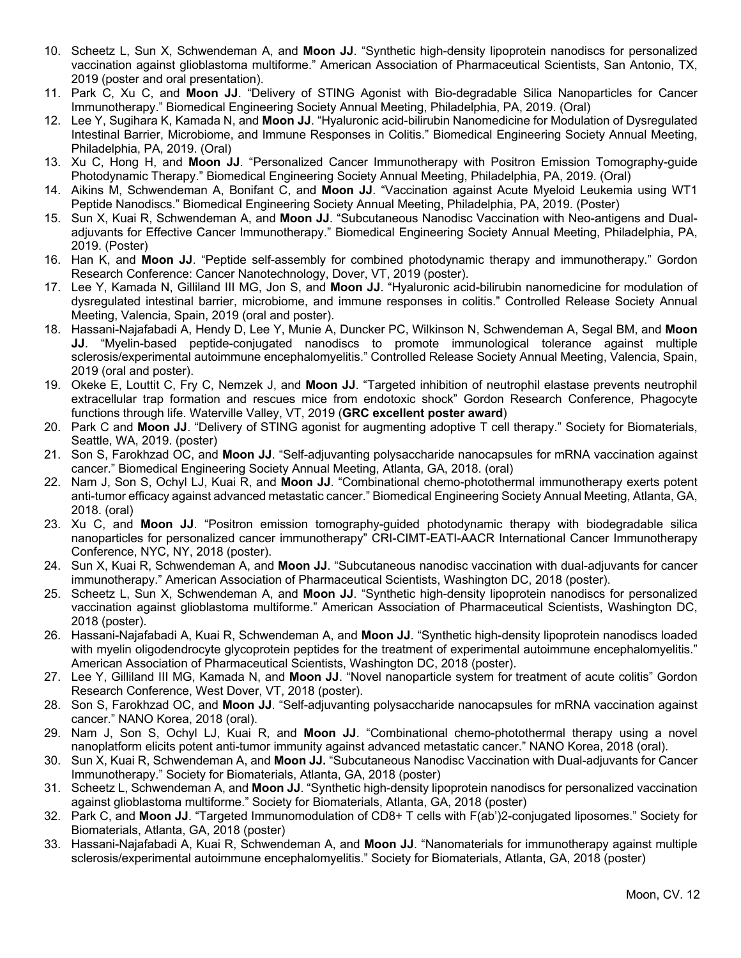- 10. Scheetz L, Sun X, Schwendeman A, and **Moon JJ**. "Synthetic high-density lipoprotein nanodiscs for personalized vaccination against glioblastoma multiforme." American Association of Pharmaceutical Scientists, San Antonio, TX, 2019 (poster and oral presentation).
- 11. Park C, Xu C, and **Moon JJ**. "Delivery of STING Agonist with Bio-degradable Silica Nanoparticles for Cancer Immunotherapy." Biomedical Engineering Society Annual Meeting, Philadelphia, PA, 2019. (Oral)
- 12. Lee Y, Sugihara K, Kamada N, and **Moon JJ**. "Hyaluronic acid-bilirubin Nanomedicine for Modulation of Dysregulated Intestinal Barrier, Microbiome, and Immune Responses in Colitis." Biomedical Engineering Society Annual Meeting, Philadelphia, PA, 2019. (Oral)
- 13. Xu C, Hong H, and **Moon JJ**. "Personalized Cancer Immunotherapy with Positron Emission Tomography-guide Photodynamic Therapy." Biomedical Engineering Society Annual Meeting, Philadelphia, PA, 2019. (Oral)
- 14. Aikins M, Schwendeman A, Bonifant C, and **Moon JJ**. "Vaccination against Acute Myeloid Leukemia using WT1 Peptide Nanodiscs." Biomedical Engineering Society Annual Meeting, Philadelphia, PA, 2019. (Poster)
- 15. Sun X, Kuai R, Schwendeman A, and **Moon JJ**. "Subcutaneous Nanodisc Vaccination with Neo-antigens and Dualadjuvants for Effective Cancer Immunotherapy." Biomedical Engineering Society Annual Meeting, Philadelphia, PA, 2019. (Poster)
- 16. Han K, and **Moon JJ**. "Peptide self-assembly for combined photodynamic therapy and immunotherapy." Gordon Research Conference: Cancer Nanotechnology, Dover, VT, 2019 (poster).
- 17. Lee Y, Kamada N, Gilliland III MG, Jon S, and **Moon JJ**. "Hyaluronic acid-bilirubin nanomedicine for modulation of dysregulated intestinal barrier, microbiome, and immune responses in colitis." Controlled Release Society Annual Meeting, Valencia, Spain, 2019 (oral and poster).
- 18. Hassani-Najafabadi A, Hendy D, Lee Y, Munie A, Duncker PC, Wilkinson N, Schwendeman A, Segal BM, and **Moon JJ**. "Myelin-based peptide-conjugated nanodiscs to promote immunological tolerance against multiple sclerosis/experimental autoimmune encephalomyelitis." Controlled Release Society Annual Meeting, Valencia, Spain, 2019 (oral and poster).
- 19. Okeke E, Louttit C, Fry C, Nemzek J, and **Moon JJ**. "Targeted inhibition of neutrophil elastase prevents neutrophil extracellular trap formation and rescues mice from endotoxic shock" Gordon Research Conference, Phagocyte functions through life. Waterville Valley, VT, 2019 (**GRC excellent poster award**)
- 20. Park C and **Moon JJ**. "Delivery of STING agonist for augmenting adoptive T cell therapy." Society for Biomaterials, Seattle, WA, 2019. (poster)
- 21. Son S, Farokhzad OC, and **Moon JJ**. "Self-adjuvanting polysaccharide nanocapsules for mRNA vaccination against cancer." Biomedical Engineering Society Annual Meeting, Atlanta, GA, 2018. (oral)
- 22. Nam J, Son S, Ochyl LJ, Kuai R, and **Moon JJ**. "Combinational chemo-photothermal immunotherapy exerts potent anti-tumor efficacy against advanced metastatic cancer." Biomedical Engineering Society Annual Meeting, Atlanta, GA, 2018. (oral)
- 23. Xu C, and **Moon JJ**. "Positron emission tomography-guided photodynamic therapy with biodegradable silica nanoparticles for personalized cancer immunotherapy" CRI-CIMT-EATI-AACR International Cancer Immunotherapy Conference, NYC, NY, 2018 (poster).
- 24. Sun X, Kuai R, Schwendeman A, and **Moon JJ**. "Subcutaneous nanodisc vaccination with dual-adjuvants for cancer immunotherapy." American Association of Pharmaceutical Scientists, Washington DC, 2018 (poster).
- 25. Scheetz L, Sun X, Schwendeman A, and **Moon JJ**. "Synthetic high-density lipoprotein nanodiscs for personalized vaccination against glioblastoma multiforme." American Association of Pharmaceutical Scientists, Washington DC, 2018 (poster).
- 26. Hassani-Najafabadi A, Kuai R, Schwendeman A, and **Moon JJ**. "Synthetic high-density lipoprotein nanodiscs loaded with myelin oligodendrocyte glycoprotein peptides for the treatment of experimental autoimmune encephalomyelitis." American Association of Pharmaceutical Scientists, Washington DC, 2018 (poster).
- 27. Lee Y, Gilliland III MG, Kamada N, and **Moon JJ**. "Novel nanoparticle system for treatment of acute colitis" Gordon Research Conference, West Dover, VT, 2018 (poster).
- 28. Son S, Farokhzad OC, and **Moon JJ**. "Self-adjuvanting polysaccharide nanocapsules for mRNA vaccination against cancer." NANO Korea, 2018 (oral).
- 29. Nam J, Son S, Ochyl LJ, Kuai R, and **Moon JJ**. "Combinational chemo-photothermal therapy using a novel nanoplatform elicits potent anti-tumor immunity against advanced metastatic cancer." NANO Korea, 2018 (oral).
- 30. Sun X, Kuai R, Schwendeman A, and **Moon JJ.** "Subcutaneous Nanodisc Vaccination with Dual-adjuvants for Cancer Immunotherapy." Society for Biomaterials, Atlanta, GA, 2018 (poster)
- 31. Scheetz L, Schwendeman A, and **Moon JJ**. "Synthetic high-density lipoprotein nanodiscs for personalized vaccination against glioblastoma multiforme." Society for Biomaterials, Atlanta, GA, 2018 (poster)
- 32. Park C, and **Moon JJ**. "Targeted Immunomodulation of CD8+ T cells with F(ab')2-conjugated liposomes." Society for Biomaterials, Atlanta, GA, 2018 (poster)
- 33. Hassani-Najafabadi A, Kuai R, Schwendeman A, and **Moon JJ**. "Nanomaterials for immunotherapy against multiple sclerosis/experimental autoimmune encephalomyelitis." Society for Biomaterials, Atlanta, GA, 2018 (poster)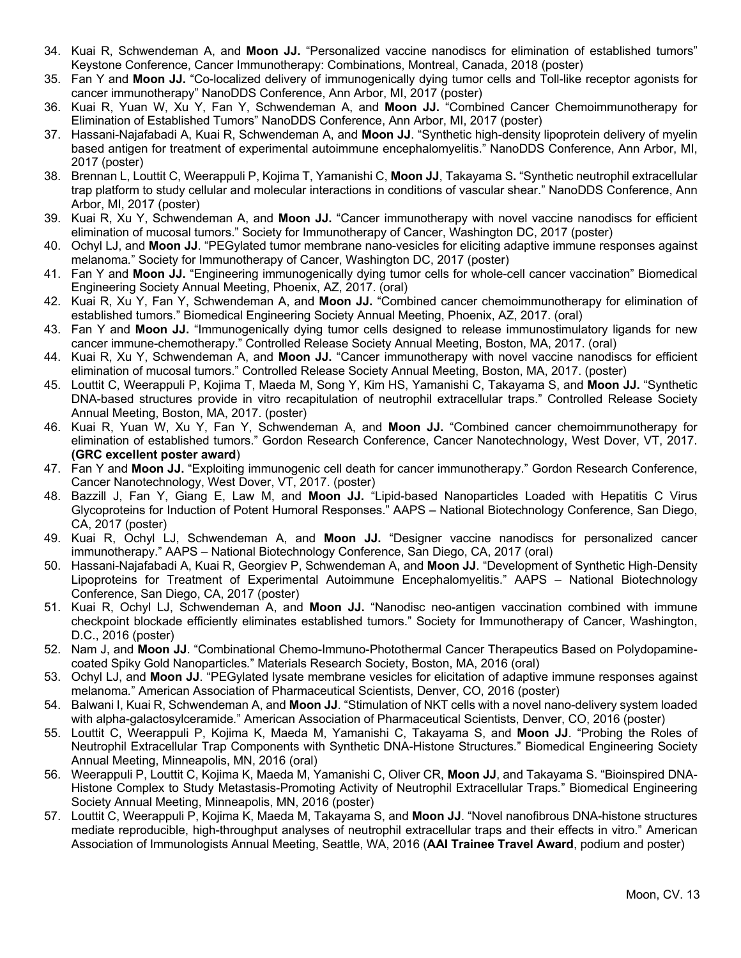- 34. Kuai R, Schwendeman A, and **Moon JJ.** "Personalized vaccine nanodiscs for elimination of established tumors" Keystone Conference, Cancer Immunotherapy: Combinations, Montreal, Canada, 2018 (poster)
- 35. Fan Y and **Moon JJ.** "Co-localized delivery of immunogenically dying tumor cells and Toll-like receptor agonists for cancer immunotherapy" NanoDDS Conference, Ann Arbor, MI, 2017 (poster)
- 36. Kuai R, Yuan W, Xu Y, Fan Y, Schwendeman A, and **Moon JJ.** "Combined Cancer Chemoimmunotherapy for Elimination of Established Tumors" NanoDDS Conference, Ann Arbor, MI, 2017 (poster)
- 37. Hassani-Najafabadi A, Kuai R, Schwendeman A, and **Moon JJ**. "Synthetic high-density lipoprotein delivery of myelin based antigen for treatment of experimental autoimmune encephalomyelitis." NanoDDS Conference, Ann Arbor, MI, 2017 (poster)
- 38. Brennan L, Louttit C, Weerappuli P, Kojima T, Yamanishi C, **Moon JJ**, Takayama S**.** "Synthetic neutrophil extracellular trap platform to study cellular and molecular interactions in conditions of vascular shear." NanoDDS Conference, Ann Arbor, MI, 2017 (poster)
- 39. Kuai R, Xu Y, Schwendeman A, and **Moon JJ.** "Cancer immunotherapy with novel vaccine nanodiscs for efficient elimination of mucosal tumors." Society for Immunotherapy of Cancer, Washington DC, 2017 (poster)
- 40. Ochyl LJ, and **Moon JJ**. "PEGylated tumor membrane nano-vesicles for eliciting adaptive immune responses against melanoma*.*" Society for Immunotherapy of Cancer, Washington DC, 2017 (poster)
- 41. Fan Y and **Moon JJ.** "Engineering immunogenically dying tumor cells for whole-cell cancer vaccination" Biomedical Engineering Society Annual Meeting, Phoenix, AZ, 2017. (oral)
- 42. Kuai R, Xu Y, Fan Y, Schwendeman A, and **Moon JJ.** "Combined cancer chemoimmunotherapy for elimination of established tumors." Biomedical Engineering Society Annual Meeting, Phoenix, AZ, 2017. (oral)
- 43. Fan Y and **Moon JJ.** "Immunogenically dying tumor cells designed to release immunostimulatory ligands for new cancer immune-chemotherapy." Controlled Release Society Annual Meeting, Boston, MA, 2017. (oral)
- 44. Kuai R, Xu Y, Schwendeman A, and **Moon JJ.** "Cancer immunotherapy with novel vaccine nanodiscs for efficient elimination of mucosal tumors." Controlled Release Society Annual Meeting, Boston, MA, 2017. (poster)
- 45. Louttit C, Weerappuli P, Kojima T, Maeda M, Song Y, Kim HS, Yamanishi C, Takayama S, and **Moon JJ.** "Synthetic DNA-based structures provide in vitro recapitulation of neutrophil extracellular traps." Controlled Release Society Annual Meeting, Boston, MA, 2017. (poster)
- 46. Kuai R, Yuan W, Xu Y, Fan Y, Schwendeman A, and **Moon JJ.** "Combined cancer chemoimmunotherapy for elimination of established tumors." Gordon Research Conference, Cancer Nanotechnology, West Dover, VT, 2017. **(GRC excellent poster award**)
- 47. Fan Y and **Moon JJ.** "Exploiting immunogenic cell death for cancer immunotherapy." Gordon Research Conference, Cancer Nanotechnology, West Dover, VT, 2017. (poster)
- 48. Bazzill J, Fan Y, Giang E, Law M, and **Moon JJ.** "Lipid-based Nanoparticles Loaded with Hepatitis C Virus Glycoproteins for Induction of Potent Humoral Responses." AAPS – National Biotechnology Conference, San Diego, CA, 2017 (poster)
- 49. Kuai R, Ochyl LJ, Schwendeman A, and **Moon JJ.** "Designer vaccine nanodiscs for personalized cancer immunotherapy." AAPS – National Biotechnology Conference, San Diego, CA, 2017 (oral)
- 50. Hassani-Najafabadi A, Kuai R, Georgiev P, Schwendeman A, and **Moon JJ**. "Development of Synthetic High-Density Lipoproteins for Treatment of Experimental Autoimmune Encephalomyelitis." AAPS – National Biotechnology Conference, San Diego, CA, 2017 (poster)
- 51. Kuai R, Ochyl LJ, Schwendeman A, and **Moon JJ.** "Nanodisc neo-antigen vaccination combined with immune checkpoint blockade efficiently eliminates established tumors." Society for Immunotherapy of Cancer, Washington, D.C., 2016 (poster)
- 52. Nam J, and **Moon JJ**. "Combinational Chemo-Immuno-Photothermal Cancer Therapeutics Based on Polydopaminecoated Spiky Gold Nanoparticles*.*" Materials Research Society, Boston, MA, 2016 (oral)
- 53. Ochyl LJ, and **Moon JJ**. "PEGylated lysate membrane vesicles for elicitation of adaptive immune responses against melanoma*.*" American Association of Pharmaceutical Scientists, Denver, CO, 2016 (poster)
- 54. Balwani I, Kuai R, Schwendeman A, and **Moon JJ**. "Stimulation of NKT cells with a novel nano-delivery system loaded with alpha-galactosylceramide*.*" American Association of Pharmaceutical Scientists, Denver, CO, 2016 (poster)
- 55. Louttit C, Weerappuli P, Kojima K, Maeda M, Yamanishi C, Takayama S, and **Moon JJ**. "Probing the Roles of Neutrophil Extracellular Trap Components with Synthetic DNA-Histone Structures*.*" Biomedical Engineering Society Annual Meeting, Minneapolis, MN, 2016 (oral)
- 56. Weerappuli P, Louttit C, Kojima K, Maeda M, Yamanishi C, Oliver CR, **Moon JJ**, and Takayama S. "Bioinspired DNA-Histone Complex to Study Metastasis-Promoting Activity of Neutrophil Extracellular Traps*.*" Biomedical Engineering Society Annual Meeting, Minneapolis, MN, 2016 (poster)
- 57. Louttit C, Weerappuli P, Kojima K, Maeda M, Takayama S, and **Moon JJ**. "Novel nanofibrous DNA-histone structures mediate reproducible, high-throughput analyses of neutrophil extracellular traps and their effects in vitro." American Association of Immunologists Annual Meeting, Seattle, WA, 2016 (**AAI Trainee Travel Award**, podium and poster)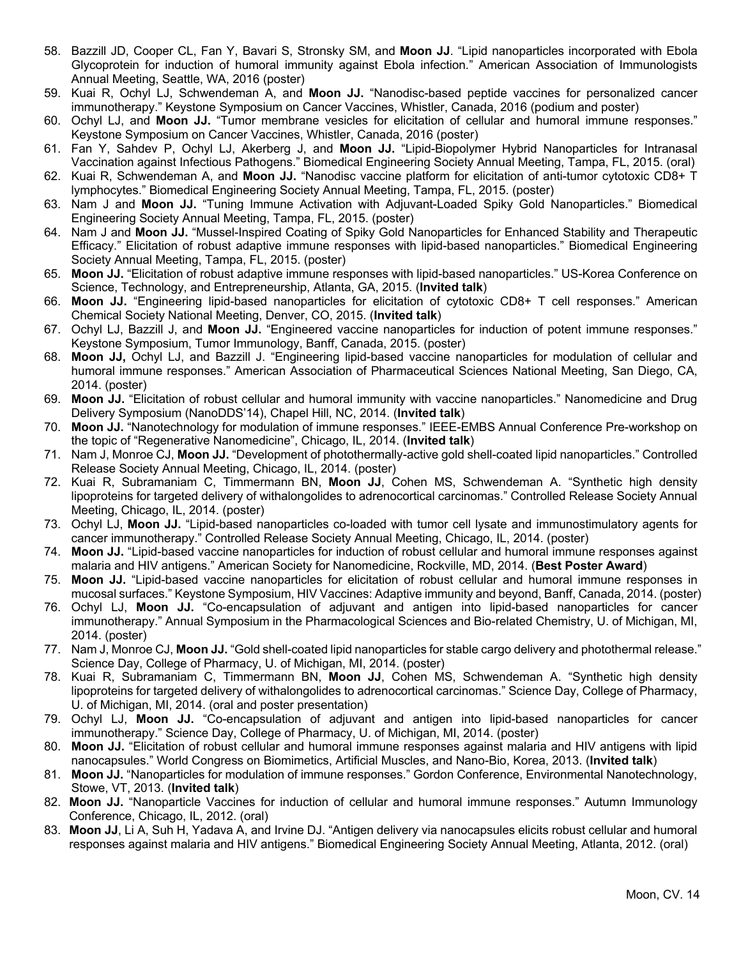- 58. Bazzill JD, Cooper CL, Fan Y, Bavari S, Stronsky SM, and **Moon JJ**. "Lipid nanoparticles incorporated with Ebola Glycoprotein for induction of humoral immunity against Ebola infection*.*" American Association of Immunologists Annual Meeting, Seattle, WA, 2016 (poster)
- 59. Kuai R, Ochyl LJ, Schwendeman A, and **Moon JJ.** "Nanodisc-based peptide vaccines for personalized cancer immunotherapy." Keystone Symposium on Cancer Vaccines, Whistler, Canada, 2016 (podium and poster)
- 60. Ochyl LJ, and **Moon JJ.** "Tumor membrane vesicles for elicitation of cellular and humoral immune responses." Keystone Symposium on Cancer Vaccines, Whistler, Canada, 2016 (poster)
- 61. Fan Y, Sahdev P, Ochyl LJ, Akerberg J, and **Moon JJ.** "Lipid-Biopolymer Hybrid Nanoparticles for Intranasal Vaccination against Infectious Pathogens." Biomedical Engineering Society Annual Meeting, Tampa, FL, 2015. (oral)
- 62. Kuai R, Schwendeman A, and **Moon JJ.** "Nanodisc vaccine platform for elicitation of anti-tumor cytotoxic CD8+ T lymphocytes." Biomedical Engineering Society Annual Meeting, Tampa, FL, 2015. (poster)
- 63. Nam J and **Moon JJ.** "Tuning Immune Activation with Adjuvant-Loaded Spiky Gold Nanoparticles." Biomedical Engineering Society Annual Meeting, Tampa, FL, 2015. (poster)
- 64. Nam J and **Moon JJ.** "Mussel-Inspired Coating of Spiky Gold Nanoparticles for Enhanced Stability and Therapeutic Efficacy." Elicitation of robust adaptive immune responses with lipid-based nanoparticles." Biomedical Engineering Society Annual Meeting, Tampa, FL, 2015. (poster)
- 65. **Moon JJ.** "Elicitation of robust adaptive immune responses with lipid-based nanoparticles." US-Korea Conference on Science, Technology, and Entrepreneurship, Atlanta, GA, 2015. (**Invited talk**)
- 66. **Moon JJ.** "Engineering lipid-based nanoparticles for elicitation of cytotoxic CD8+ T cell responses." American Chemical Society National Meeting, Denver, CO, 2015. (**Invited talk**)
- 67. Ochyl LJ, Bazzill J, and **Moon JJ.** "Engineered vaccine nanoparticles for induction of potent immune responses." Keystone Symposium, Tumor Immunology, Banff, Canada, 2015. (poster)
- 68. **Moon JJ,** Ochyl LJ, and Bazzill J. "Engineering lipid-based vaccine nanoparticles for modulation of cellular and humoral immune responses." American Association of Pharmaceutical Sciences National Meeting, San Diego, CA, 2014. (poster)
- 69. **Moon JJ.** "Elicitation of robust cellular and humoral immunity with vaccine nanoparticles." Nanomedicine and Drug Delivery Symposium (NanoDDS'14), Chapel Hill, NC, 2014. (**Invited talk**)
- 70. **Moon JJ.** "Nanotechnology for modulation of immune responses." IEEE-EMBS Annual Conference Pre-workshop on the topic of "Regenerative Nanomedicine", Chicago, IL, 2014. (**Invited talk**)
- 71. Nam J, Monroe CJ, **Moon JJ.** "Development of photothermally-active gold shell-coated lipid nanoparticles." Controlled Release Society Annual Meeting, Chicago, IL, 2014. (poster)
- 72. Kuai R, Subramaniam C, Timmermann BN, **Moon JJ**, Cohen MS, Schwendeman A. "Synthetic high density lipoproteins for targeted delivery of withalongolides to adrenocortical carcinomas." Controlled Release Society Annual Meeting, Chicago, IL, 2014. (poster)
- 73. Ochyl LJ, **Moon JJ.** "Lipid-based nanoparticles co-loaded with tumor cell lysate and immunostimulatory agents for cancer immunotherapy." Controlled Release Society Annual Meeting, Chicago, IL, 2014. (poster)
- 74. **Moon JJ.** "Lipid-based vaccine nanoparticles for induction of robust cellular and humoral immune responses against malaria and HIV antigens." American Society for Nanomedicine, Rockville, MD, 2014. (**Best Poster Award**)
- 75. **Moon JJ.** "Lipid-based vaccine nanoparticles for elicitation of robust cellular and humoral immune responses in mucosal surfaces." Keystone Symposium, HIV Vaccines: Adaptive immunity and beyond, Banff, Canada, 2014. (poster)
- 76. Ochyl LJ, **Moon JJ.** "Co-encapsulation of adjuvant and antigen into lipid-based nanoparticles for cancer immunotherapy." Annual Symposium in the Pharmacological Sciences and Bio-related Chemistry, U. of Michigan, MI, 2014. (poster)
- 77. Nam J, Monroe CJ, **Moon JJ.** "Gold shell-coated lipid nanoparticles for stable cargo delivery and photothermal release." Science Day, College of Pharmacy, U. of Michigan, MI, 2014. (poster)
- 78. Kuai R, Subramaniam C, Timmermann BN, **Moon JJ**, Cohen MS, Schwendeman A. "Synthetic high density lipoproteins for targeted delivery of withalongolides to adrenocortical carcinomas." Science Day, College of Pharmacy, U. of Michigan, MI, 2014. (oral and poster presentation)
- 79. Ochyl LJ, **Moon JJ.** "Co-encapsulation of adjuvant and antigen into lipid-based nanoparticles for cancer immunotherapy." Science Day, College of Pharmacy, U. of Michigan, MI, 2014. (poster)
- 80. **Moon JJ.** "Elicitation of robust cellular and humoral immune responses against malaria and HIV antigens with lipid nanocapsules." World Congress on Biomimetics, Artificial Muscles, and Nano-Bio, Korea, 2013. (**Invited talk**)
- 81. **Moon JJ.** "Nanoparticles for modulation of immune responses." Gordon Conference, Environmental Nanotechnology, Stowe, VT, 2013. (**Invited talk**)
- 82. **Moon JJ.** "Nanoparticle Vaccines for induction of cellular and humoral immune responses." Autumn Immunology Conference, Chicago, IL, 2012. (oral)
- 83. **Moon JJ**, Li A, Suh H, Yadava A, and Irvine DJ. "Antigen delivery via nanocapsules elicits robust cellular and humoral responses against malaria and HIV antigens." Biomedical Engineering Society Annual Meeting, Atlanta, 2012. (oral)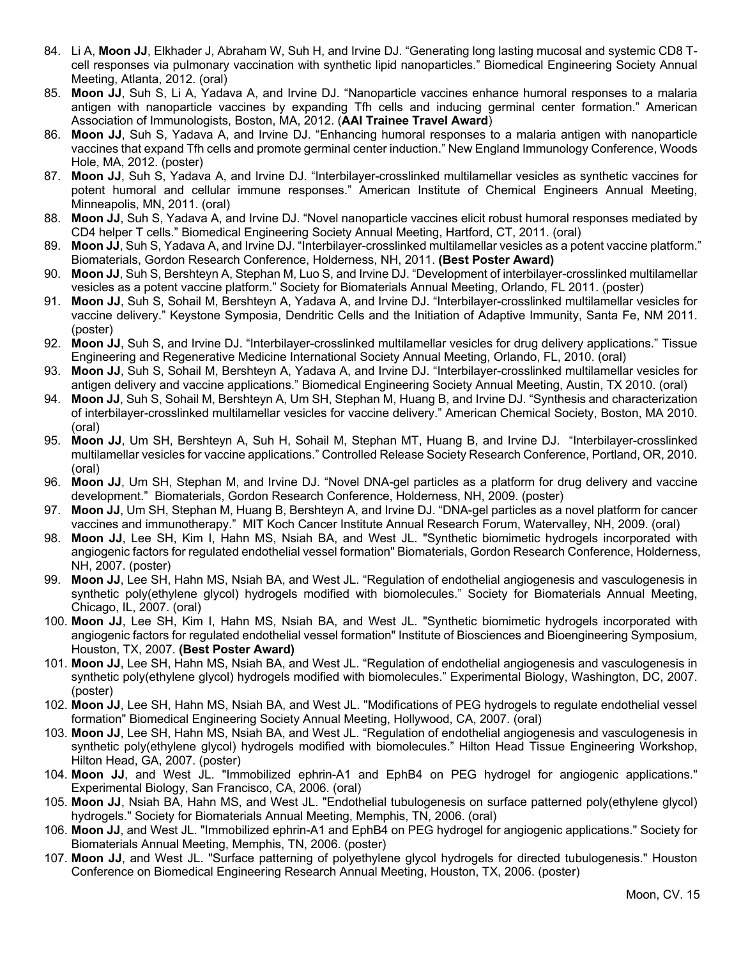- 84. Li A, **Moon JJ**, Elkhader J, Abraham W, Suh H, and Irvine DJ. "Generating long lasting mucosal and systemic CD8 Tcell responses via pulmonary vaccination with synthetic lipid nanoparticles." Biomedical Engineering Society Annual Meeting, Atlanta, 2012. (oral)
- 85. **Moon JJ**, Suh S, Li A, Yadava A, and Irvine DJ. "Nanoparticle vaccines enhance humoral responses to a malaria antigen with nanoparticle vaccines by expanding Tfh cells and inducing germinal center formation." American Association of Immunologists, Boston, MA, 2012. (**AAI Trainee Travel Award**)
- 86. **Moon JJ**, Suh S, Yadava A, and Irvine DJ. "Enhancing humoral responses to a malaria antigen with nanoparticle vaccines that expand Tfh cells and promote germinal center induction." New England Immunology Conference, Woods Hole, MA, 2012. (poster)
- 87. **Moon JJ**, Suh S, Yadava A, and Irvine DJ. "Interbilayer-crosslinked multilamellar vesicles as synthetic vaccines for potent humoral and cellular immune responses." American Institute of Chemical Engineers Annual Meeting, Minneapolis, MN, 2011. (oral)
- 88. **Moon JJ**, Suh S, Yadava A, and Irvine DJ. "Novel nanoparticle vaccines elicit robust humoral responses mediated by CD4 helper T cells." Biomedical Engineering Society Annual Meeting, Hartford, CT, 2011. (oral)
- 89. **Moon JJ**, Suh S, Yadava A, and Irvine DJ. "Interbilayer-crosslinked multilamellar vesicles as a potent vaccine platform." Biomaterials, Gordon Research Conference, Holderness, NH, 2011. **(Best Poster Award)**
- 90. **Moon JJ**, Suh S, Bershteyn A, Stephan M, Luo S, and Irvine DJ. "Development of interbilayer-crosslinked multilamellar vesicles as a potent vaccine platform." Society for Biomaterials Annual Meeting, Orlando, FL 2011. (poster)
- 91. **Moon JJ**, Suh S, Sohail M, Bershteyn A, Yadava A, and Irvine DJ. "Interbilayer-crosslinked multilamellar vesicles for vaccine delivery." Keystone Symposia, Dendritic Cells and the Initiation of Adaptive Immunity, Santa Fe, NM 2011. (poster)
- 92. **Moon JJ**, Suh S, and Irvine DJ. "Interbilayer-crosslinked multilamellar vesicles for drug delivery applications." Tissue Engineering and Regenerative Medicine International Society Annual Meeting, Orlando, FL, 2010. (oral)
- 93. **Moon JJ**, Suh S, Sohail M, Bershteyn A, Yadava A, and Irvine DJ. "Interbilayer-crosslinked multilamellar vesicles for antigen delivery and vaccine applications." Biomedical Engineering Society Annual Meeting, Austin, TX 2010. (oral)
- 94. **Moon JJ**, Suh S, Sohail M, Bershteyn A, Um SH, Stephan M, Huang B, and Irvine DJ. "Synthesis and characterization of interbilayer-crosslinked multilamellar vesicles for vaccine delivery." American Chemical Society, Boston, MA 2010. (oral)
- 95. **Moon JJ**, Um SH, Bershteyn A, Suh H, Sohail M, Stephan MT, Huang B, and Irvine DJ. "Interbilayer-crosslinked multilamellar vesicles for vaccine applications." Controlled Release Society Research Conference, Portland, OR, 2010. (oral)
- 96. **Moon JJ**, Um SH, Stephan M, and Irvine DJ. "Novel DNA-gel particles as a platform for drug delivery and vaccine development." Biomaterials, Gordon Research Conference, Holderness, NH, 2009. (poster)
- 97. **Moon JJ**, Um SH, Stephan M, Huang B, Bershteyn A, and Irvine DJ. "DNA-gel particles as a novel platform for cancer vaccines and immunotherapy." MIT Koch Cancer Institute Annual Research Forum, Watervalley, NH, 2009. (oral)
- 98. **Moon JJ**, Lee SH, Kim I, Hahn MS, Nsiah BA, and West JL. "Synthetic biomimetic hydrogels incorporated with angiogenic factors for regulated endothelial vessel formation" Biomaterials, Gordon Research Conference, Holderness, NH, 2007. (poster)
- 99. **Moon JJ**, Lee SH, Hahn MS, Nsiah BA, and West JL. "Regulation of endothelial angiogenesis and vasculogenesis in synthetic poly(ethylene glycol) hydrogels modified with biomolecules." Society for Biomaterials Annual Meeting, Chicago, IL, 2007. (oral)
- 100. **Moon JJ**, Lee SH, Kim I, Hahn MS, Nsiah BA, and West JL. "Synthetic biomimetic hydrogels incorporated with angiogenic factors for regulated endothelial vessel formation" Institute of Biosciences and Bioengineering Symposium, Houston, TX, 2007. **(Best Poster Award)**
- 101. **Moon JJ**, Lee SH, Hahn MS, Nsiah BA, and West JL. "Regulation of endothelial angiogenesis and vasculogenesis in synthetic poly(ethylene glycol) hydrogels modified with biomolecules." Experimental Biology, Washington, DC, 2007. (poster)
- 102. **Moon JJ**, Lee SH, Hahn MS, Nsiah BA, and West JL. "Modifications of PEG hydrogels to regulate endothelial vessel formation" Biomedical Engineering Society Annual Meeting, Hollywood, CA, 2007. (oral)
- 103. **Moon JJ**, Lee SH, Hahn MS, Nsiah BA, and West JL. "Regulation of endothelial angiogenesis and vasculogenesis in synthetic poly(ethylene glycol) hydrogels modified with biomolecules." Hilton Head Tissue Engineering Workshop, Hilton Head, GA, 2007. (poster)
- 104. **Moon JJ**, and West JL. "Immobilized ephrin-A1 and EphB4 on PEG hydrogel for angiogenic applications." Experimental Biology, San Francisco, CA, 2006. (oral)
- 105. **Moon JJ**, Nsiah BA, Hahn MS, and West JL. "Endothelial tubulogenesis on surface patterned poly(ethylene glycol) hydrogels." Society for Biomaterials Annual Meeting, Memphis, TN, 2006. (oral)
- 106. **Moon JJ**, and West JL. "Immobilized ephrin-A1 and EphB4 on PEG hydrogel for angiogenic applications." Society for Biomaterials Annual Meeting, Memphis, TN, 2006. (poster)
- 107. **Moon JJ**, and West JL. "Surface patterning of polyethylene glycol hydrogels for directed tubulogenesis." Houston Conference on Biomedical Engineering Research Annual Meeting, Houston, TX, 2006. (poster)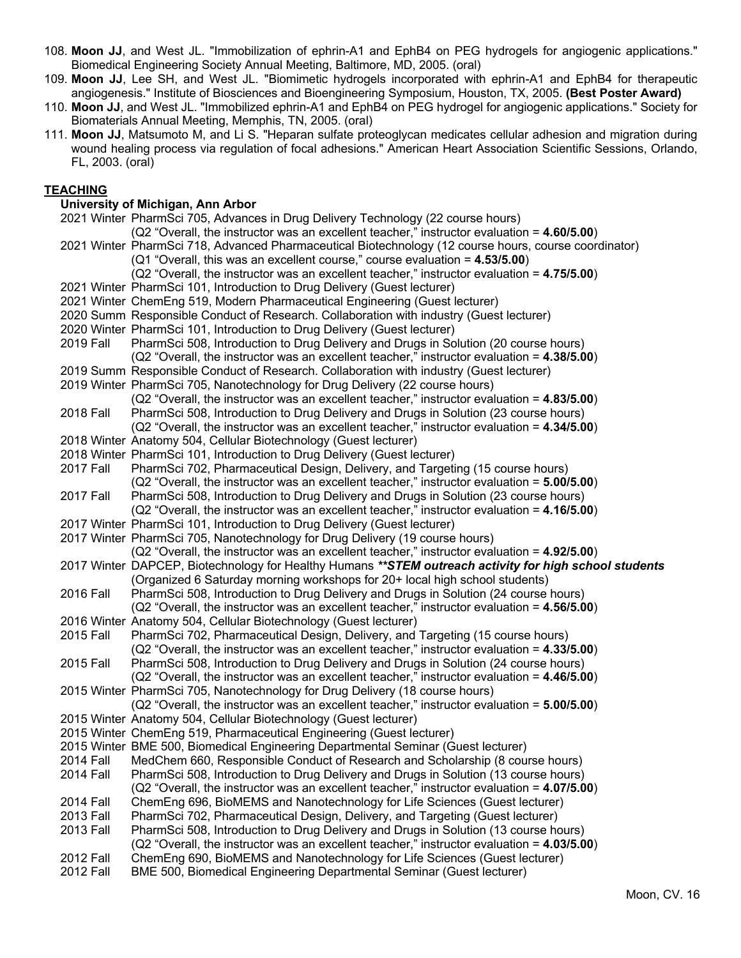- 108. **Moon JJ**, and West JL. "Immobilization of ephrin-A1 and EphB4 on PEG hydrogels for angiogenic applications." Biomedical Engineering Society Annual Meeting, Baltimore, MD, 2005. (oral)
- 109. **Moon JJ**, Lee SH, and West JL. "Biomimetic hydrogels incorporated with ephrin-A1 and EphB4 for therapeutic angiogenesis." Institute of Biosciences and Bioengineering Symposium, Houston, TX, 2005. **(Best Poster Award)**
- 110. **Moon JJ**, and West JL. "Immobilized ephrin-A1 and EphB4 on PEG hydrogel for angiogenic applications." Society for Biomaterials Annual Meeting, Memphis, TN, 2005. (oral)
- 111. **Moon JJ**, Matsumoto M, and Li S. "Heparan sulfate proteoglycan medicates cellular adhesion and migration during wound healing process via regulation of focal adhesions." American Heart Association Scientific Sessions, Orlando, FL, 2003. (oral)

## **TEACHING**

#### **University of Michigan, Ann Arbor**

|                                      | 2021 Winter PharmSci 705, Advances in Drug Delivery Technology (22 course hours)                                                                    |
|--------------------------------------|-----------------------------------------------------------------------------------------------------------------------------------------------------|
|                                      | (Q2 "Overall, the instructor was an excellent teacher," instructor evaluation = 4.60/5.00)                                                          |
|                                      | 2021 Winter PharmSci 718, Advanced Pharmaceutical Biotechnology (12 course hours, course coordinator)                                               |
|                                      | (Q1 "Overall, this was an excellent course," course evaluation = 4.53/5.00)                                                                         |
|                                      | (Q2 "Overall, the instructor was an excellent teacher," instructor evaluation = 4.75/5.00)                                                          |
|                                      | 2021 Winter PharmSci 101, Introduction to Drug Delivery (Guest lecturer)                                                                            |
|                                      | 2021 Winter ChemEng 519, Modern Pharmaceutical Engineering (Guest lecturer)                                                                         |
|                                      | 2020 Summ Responsible Conduct of Research. Collaboration with industry (Guest lecturer)                                                             |
|                                      | 2020 Winter PharmSci 101, Introduction to Drug Delivery (Guest lecturer)                                                                            |
| 2019 Fall                            | PharmSci 508, Introduction to Drug Delivery and Drugs in Solution (20 course hours)                                                                 |
|                                      | (Q2 "Overall, the instructor was an excellent teacher," instructor evaluation = 4.38/5.00)                                                          |
|                                      | 2019 Summ Responsible Conduct of Research. Collaboration with industry (Guest lecturer)                                                             |
|                                      | 2019 Winter PharmSci 705, Nanotechnology for Drug Delivery (22 course hours)                                                                        |
|                                      | (Q2 "Overall, the instructor was an excellent teacher," instructor evaluation = 4.83/5.00)                                                          |
| <b>2018 Fall</b>                     | PharmSci 508, Introduction to Drug Delivery and Drugs in Solution (23 course hours)                                                                 |
|                                      | (Q2 "Overall, the instructor was an excellent teacher," instructor evaluation = 4.34/5.00)                                                          |
|                                      | 2018 Winter Anatomy 504, Cellular Biotechnology (Guest lecturer)                                                                                    |
|                                      | 2018 Winter PharmSci 101, Introduction to Drug Delivery (Guest lecturer)                                                                            |
| 2017 Fall                            | PharmSci 702, Pharmaceutical Design, Delivery, and Targeting (15 course hours)                                                                      |
|                                      | (Q2 "Overall, the instructor was an excellent teacher," instructor evaluation = 5.00/5.00)                                                          |
| <b>2017 Fall</b>                     | PharmSci 508, Introduction to Drug Delivery and Drugs in Solution (23 course hours)                                                                 |
|                                      | $(Q2$ "Overall, the instructor was an excellent teacher," instructor evaluation = $4.16/5.00$ )                                                     |
|                                      | 2017 Winter PharmSci 101, Introduction to Drug Delivery (Guest lecturer)                                                                            |
|                                      |                                                                                                                                                     |
|                                      | 2017 Winter PharmSci 705, Nanotechnology for Drug Delivery (19 course hours)                                                                        |
|                                      | (Q2 "Overall, the instructor was an excellent teacher," instructor evaluation = 4.92/5.00)                                                          |
|                                      | 2017 Winter DAPCEP, Biotechnology for Healthy Humans **STEM outreach activity for high school students                                              |
|                                      | (Organized 6 Saturday morning workshops for 20+ local high school students)                                                                         |
| <b>2016 Fall</b>                     | PharmSci 508, Introduction to Drug Delivery and Drugs in Solution (24 course hours)                                                                 |
|                                      | $(Q2$ "Overall, the instructor was an excellent teacher," instructor evaluation = $4.56/5.00$ )                                                     |
|                                      | 2016 Winter Anatomy 504, Cellular Biotechnology (Guest lecturer)                                                                                    |
| 2015 Fall                            | PharmSci 702, Pharmaceutical Design, Delivery, and Targeting (15 course hours)                                                                      |
|                                      | (Q2 "Overall, the instructor was an excellent teacher," instructor evaluation = 4.33/5.00)                                                          |
| 2015 Fall                            | PharmSci 508, Introduction to Drug Delivery and Drugs in Solution (24 course hours)                                                                 |
|                                      | $(Q2$ "Overall, the instructor was an excellent teacher," instructor evaluation = $4.46/5.00$ )                                                     |
|                                      | 2015 Winter PharmSci 705, Nanotechnology for Drug Delivery (18 course hours)                                                                        |
|                                      | (Q2 "Overall, the instructor was an excellent teacher," instructor evaluation = 5.00/5.00)                                                          |
|                                      | 2015 Winter Anatomy 504, Cellular Biotechnology (Guest lecturer)                                                                                    |
|                                      | 2015 Winter ChemEng 519, Pharmaceutical Engineering (Guest lecturer)                                                                                |
|                                      | 2015 Winter BME 500, Biomedical Engineering Departmental Seminar (Guest lecturer)                                                                   |
| <b>2014 Fall</b>                     | MedChem 660, Responsible Conduct of Research and Scholarship (8 course hours)                                                                       |
| <b>2014 Fall</b>                     | PharmSci 508, Introduction to Drug Delivery and Drugs in Solution (13 course hours)                                                                 |
|                                      | (Q2 "Overall, the instructor was an excellent teacher," instructor evaluation = $4.07/5.00$ )                                                       |
| <b>2014 Fall</b>                     | ChemEng 696, BioMEMS and Nanotechnology for Life Sciences (Guest lecturer)                                                                          |
| 2013 Fall                            | PharmSci 702, Pharmaceutical Design, Delivery, and Targeting (Guest lecturer)                                                                       |
| 2013 Fall                            | PharmSci 508, Introduction to Drug Delivery and Drugs in Solution (13 course hours)                                                                 |
|                                      | (Q2 "Overall, the instructor was an excellent teacher," instructor evaluation = 4.03/5.00)                                                          |
| <b>2012 Fall</b><br><b>2012 Fall</b> | ChemEng 690, BioMEMS and Nanotechnology for Life Sciences (Guest lecturer)<br>BME 500, Biomedical Engineering Departmental Seminar (Guest lecturer) |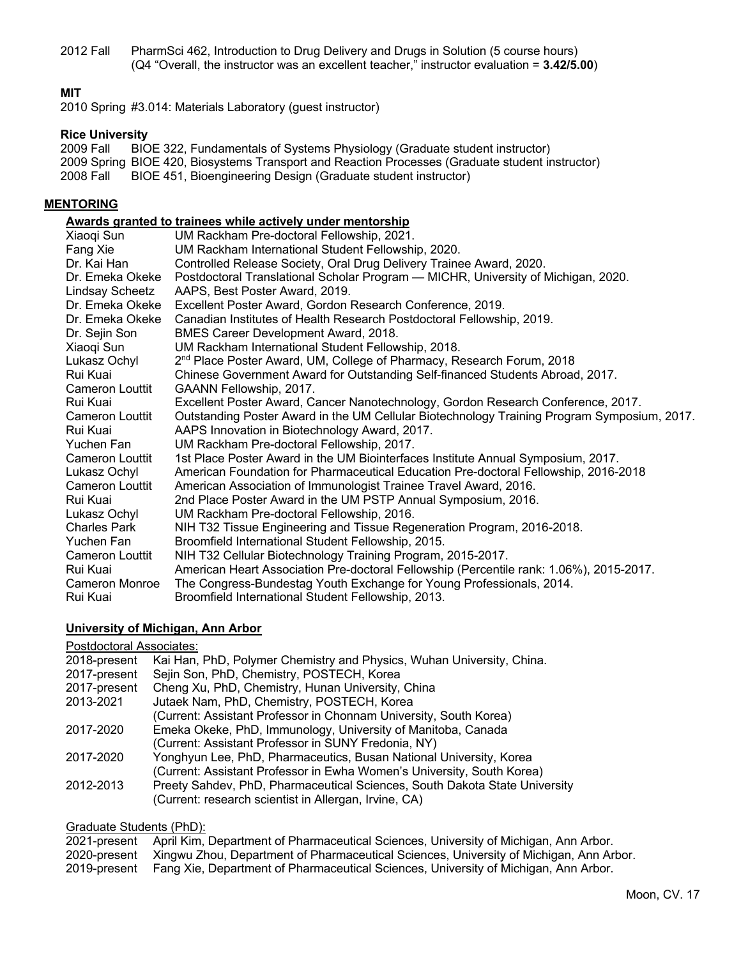2012 Fall PharmSci 462, Introduction to Drug Delivery and Drugs in Solution (5 course hours) (Q4 "Overall, the instructor was an excellent teacher," instructor evaluation = **3.42/5.00**)

### **MIT**

2010 Spring #3.014: Materials Laboratory (guest instructor)

# **Rice University**<br>2009 Fall BIC

BIOE 322, Fundamentals of Systems Physiology (Graduate student instructor) 2009 Spring BIOE 420, Biosystems Transport and Reaction Processes (Graduate student instructor) 2008 Fall BIOE 451, Bioengineering Design (Graduate student instructor)

#### **MENTORING**

# **Awards granted to trainees while actively under mentorship**

| Xiaogi Sun             | UM Rackham Pre-doctoral Fellowship, 2021.                                                   |
|------------------------|---------------------------------------------------------------------------------------------|
| Fang Xie               | UM Rackham International Student Fellowship, 2020.                                          |
| Dr. Kai Han            | Controlled Release Society, Oral Drug Delivery Trainee Award, 2020.                         |
| Dr. Emeka Okeke        | Postdoctoral Translational Scholar Program - MICHR, University of Michigan, 2020.           |
| Lindsay Scheetz        | AAPS, Best Poster Award, 2019.                                                              |
| Dr. Emeka Okeke        | Excellent Poster Award, Gordon Research Conference, 2019.                                   |
| Dr. Emeka Okeke        | Canadian Institutes of Health Research Postdoctoral Fellowship, 2019.                       |
| Dr. Sejin Son          | BMES Career Development Award, 2018.                                                        |
| Xiaogi Sun             | UM Rackham International Student Fellowship, 2018.                                          |
| Lukasz Ochyl           | 2 <sup>nd</sup> Place Poster Award, UM, College of Pharmacy, Research Forum, 2018           |
| Rui Kuai               | Chinese Government Award for Outstanding Self-financed Students Abroad, 2017.               |
| Cameron Louttit        | GAANN Fellowship, 2017.                                                                     |
| Rui Kuai               | Excellent Poster Award, Cancer Nanotechnology, Gordon Research Conference, 2017.            |
| <b>Cameron Louttit</b> | Outstanding Poster Award in the UM Cellular Biotechnology Training Program Symposium, 2017. |
| Rui Kuai               | AAPS Innovation in Biotechnology Award, 2017.                                               |
| Yuchen Fan             | UM Rackham Pre-doctoral Fellowship, 2017.                                                   |
| <b>Cameron Louttit</b> | 1st Place Poster Award in the UM Biointerfaces Institute Annual Symposium, 2017.            |
| Lukasz Ochyl           | American Foundation for Pharmaceutical Education Pre-doctoral Fellowship, 2016-2018         |
| Cameron Louttit        | American Association of Immunologist Trainee Travel Award, 2016.                            |
| Rui Kuai               | 2nd Place Poster Award in the UM PSTP Annual Symposium, 2016.                               |
| Lukasz Ochyl           | UM Rackham Pre-doctoral Fellowship, 2016.                                                   |
| <b>Charles Park</b>    | NIH T32 Tissue Engineering and Tissue Regeneration Program, 2016-2018.                      |
| Yuchen Fan             | Broomfield International Student Fellowship, 2015.                                          |
| Cameron Louttit        | NIH T32 Cellular Biotechnology Training Program, 2015-2017.                                 |
| Rui Kuai               | American Heart Association Pre-doctoral Fellowship (Percentile rank: 1.06%), 2015-2017.     |
| <b>Cameron Monroe</b>  | The Congress-Bundestag Youth Exchange for Young Professionals, 2014.                        |
| Rui Kuai               | Broomfield International Student Fellowship, 2013.                                          |

#### **University of Michigan, Ann Arbor**

#### Postdoctoral Associates:

| Kai Han, PhD, Polymer Chemistry and Physics, Wuhan University, China.                                                               |
|-------------------------------------------------------------------------------------------------------------------------------------|
| Sejin Son, PhD, Chemistry, POSTECH, Korea                                                                                           |
| Cheng Xu, PhD, Chemistry, Hunan University, China                                                                                   |
| Jutaek Nam, PhD, Chemistry, POSTECH, Korea                                                                                          |
| (Current: Assistant Professor in Chonnam University, South Korea)                                                                   |
| Emeka Okeke, PhD, Immunology, University of Manitoba, Canada                                                                        |
| (Current: Assistant Professor in SUNY Fredonia, NY)                                                                                 |
| Yonghyun Lee, PhD, Pharmaceutics, Busan National University, Korea                                                                  |
| (Current: Assistant Professor in Ewha Women's University, South Korea)                                                              |
| Preety Sahdev, PhD, Pharmaceutical Sciences, South Dakota State University<br>(Current: research scientist in Allergan, Irvine, CA) |
|                                                                                                                                     |

#### Graduate Students (PhD):

| 2021-present April Kim, Department of Pharmaceutical Sciences, University of Michigan, Ann Arbor.   |
|-----------------------------------------------------------------------------------------------------|
| 2020-present Xingwu Zhou, Department of Pharmaceutical Sciences, University of Michigan, Ann Arbor. |

2019-present Fang Xie, Department of Pharmaceutical Sciences, University of Michigan, Ann Arbor.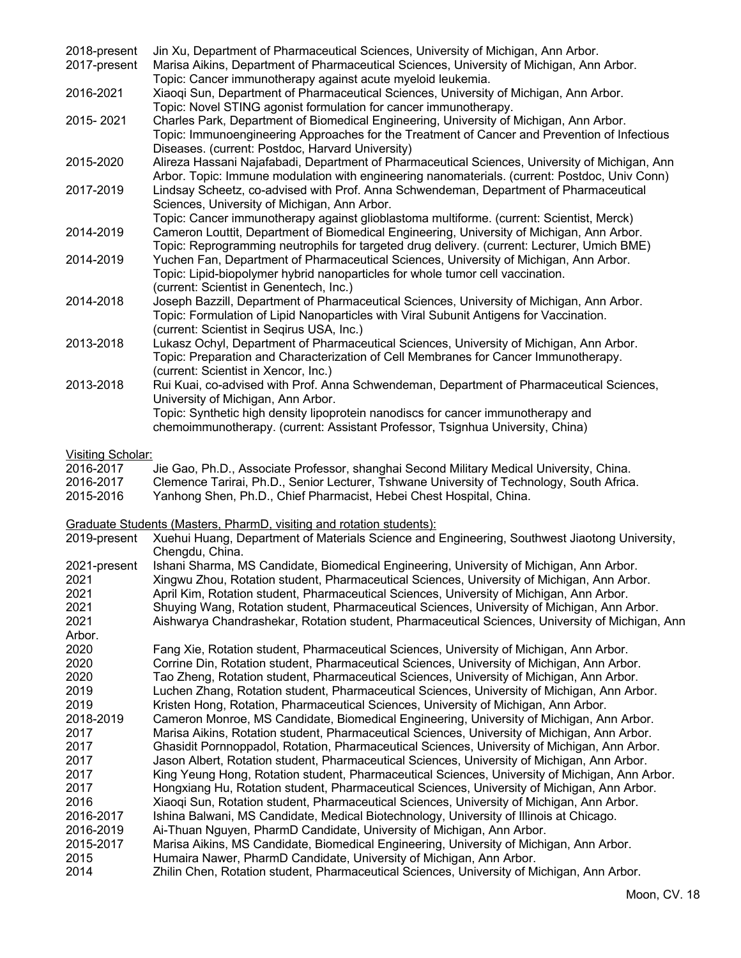| 2018-present | Jin Xu, Department of Pharmaceutical Sciences, University of Michigan, Ann Arbor.              |
|--------------|------------------------------------------------------------------------------------------------|
| 2017-present | Marisa Aikins, Department of Pharmaceutical Sciences, University of Michigan, Ann Arbor.       |
|              | Topic: Cancer immunotherapy against acute myeloid leukemia.                                    |
| 2016-2021    | Xiaoqi Sun, Department of Pharmaceutical Sciences, University of Michigan, Ann Arbor.          |
|              | Topic: Novel STING agonist formulation for cancer immunotherapy.                               |
| 2015-2021    | Charles Park, Department of Biomedical Engineering, University of Michigan, Ann Arbor.         |
|              | Topic: Immunoengineering Approaches for the Treatment of Cancer and Prevention of Infectious   |
|              | Diseases. (current: Postdoc, Harvard University)                                               |
| 2015-2020    | Alireza Hassani Najafabadi, Department of Pharmaceutical Sciences, University of Michigan, Ann |
|              | Arbor. Topic: Immune modulation with engineering nanomaterials. (current: Postdoc, Univ Conn)  |
| 2017-2019    | Lindsay Scheetz, co-advised with Prof. Anna Schwendeman, Department of Pharmaceutical          |
|              | Sciences, University of Michigan, Ann Arbor.                                                   |
|              | Topic: Cancer immunotherapy against glioblastoma multiforme. (current: Scientist, Merck)       |
| 2014-2019    | Cameron Louttit, Department of Biomedical Engineering, University of Michigan, Ann Arbor.      |
|              | Topic: Reprogramming neutrophils for targeted drug delivery. (current: Lecturer, Umich BME)    |
| 2014-2019    | Yuchen Fan, Department of Pharmaceutical Sciences, University of Michigan, Ann Arbor.          |
|              | Topic: Lipid-biopolymer hybrid nanoparticles for whole tumor cell vaccination.                 |
|              | (current: Scientist in Genentech, Inc.)                                                        |
| 2014-2018    | Joseph Bazzill, Department of Pharmaceutical Sciences, University of Michigan, Ann Arbor.      |
|              | Topic: Formulation of Lipid Nanoparticles with Viral Subunit Antigens for Vaccination.         |
|              | (current: Scientist in Segirus USA, Inc.)                                                      |
| 2013-2018    | Lukasz Ochyl, Department of Pharmaceutical Sciences, University of Michigan, Ann Arbor.        |
|              | Topic: Preparation and Characterization of Cell Membranes for Cancer Immunotherapy.            |
|              | (current: Scientist in Xencor, Inc.)                                                           |
| 2013-2018    | Rui Kuai, co-advised with Prof. Anna Schwendeman, Department of Pharmaceutical Sciences,       |
|              | University of Michigan, Ann Arbor.                                                             |
|              | Topic: Synthetic high density lipoprotein nanodiscs for cancer immunotherapy and               |
|              | chemoimmunotherapy. (current: Assistant Professor, Tsignhua University, China)                 |

## Visiting Scholar:

| 2016-2017 | Jie Gao, Ph.D., Associate Professor, shanghai Second Military Medical University, China.  |
|-----------|-------------------------------------------------------------------------------------------|
| 2016-2017 | Clemence Tarirai, Ph.D., Senior Lecturer, Tshwane University of Technology, South Africa. |
| 2015-2016 | Yanhong Shen, Ph.D., Chief Pharmacist, Hebei Chest Hospital, China.                       |

# Graduate Students (Masters, PharmD, visiting and rotation students):

| 2019-present | Xuehui Huang, Department of Materials Science and Engineering, Southwest Jiaotong University,<br>Chengdu, China. |
|--------------|------------------------------------------------------------------------------------------------------------------|
| 2021-present | Ishani Sharma, MS Candidate, Biomedical Engineering, University of Michigan, Ann Arbor.                          |
| 2021         | Xingwu Zhou, Rotation student, Pharmaceutical Sciences, University of Michigan, Ann Arbor.                       |
| 2021         | April Kim, Rotation student, Pharmaceutical Sciences, University of Michigan, Ann Arbor.                         |
| 2021         | Shuying Wang, Rotation student, Pharmaceutical Sciences, University of Michigan, Ann Arbor.                      |
| 2021         | Aishwarya Chandrashekar, Rotation student, Pharmaceutical Sciences, University of Michigan, Ann                  |
| Arbor.       |                                                                                                                  |
| 2020         | Fang Xie, Rotation student, Pharmaceutical Sciences, University of Michigan, Ann Arbor.                          |
| 2020         | Corrine Din, Rotation student, Pharmaceutical Sciences, University of Michigan, Ann Arbor.                       |
| 2020         | Tao Zheng, Rotation student, Pharmaceutical Sciences, University of Michigan, Ann Arbor.                         |
| 2019         | Luchen Zhang, Rotation student, Pharmaceutical Sciences, University of Michigan, Ann Arbor.                      |
| 2019         | Kristen Hong, Rotation, Pharmaceutical Sciences, University of Michigan, Ann Arbor.                              |
| 2018-2019    | Cameron Monroe, MS Candidate, Biomedical Engineering, University of Michigan, Ann Arbor.                         |
| 2017         | Marisa Aikins, Rotation student, Pharmaceutical Sciences, University of Michigan, Ann Arbor.                     |
| 2017         | Ghasidit Pornnoppadol, Rotation, Pharmaceutical Sciences, University of Michigan, Ann Arbor.                     |
| 2017         | Jason Albert, Rotation student, Pharmaceutical Sciences, University of Michigan, Ann Arbor.                      |
| 2017         | King Yeung Hong, Rotation student, Pharmaceutical Sciences, University of Michigan, Ann Arbor.                   |
| 2017         | Hongxiang Hu, Rotation student, Pharmaceutical Sciences, University of Michigan, Ann Arbor.                      |
| 2016         | Xiaogi Sun, Rotation student, Pharmaceutical Sciences, University of Michigan, Ann Arbor.                        |
| 2016-2017    | Ishina Balwani, MS Candidate, Medical Biotechnology, University of Illinois at Chicago.                          |
| 2016-2019    | Ai-Thuan Nguyen, PharmD Candidate, University of Michigan, Ann Arbor.                                            |
| 2015-2017    | Marisa Aikins, MS Candidate, Biomedical Engineering, University of Michigan, Ann Arbor.                          |
| 2015         | Humaira Nawer, PharmD Candidate, University of Michigan, Ann Arbor.                                              |
| 2014         | Zhilin Chen, Rotation student, Pharmaceutical Sciences, University of Michigan, Ann Arbor.                       |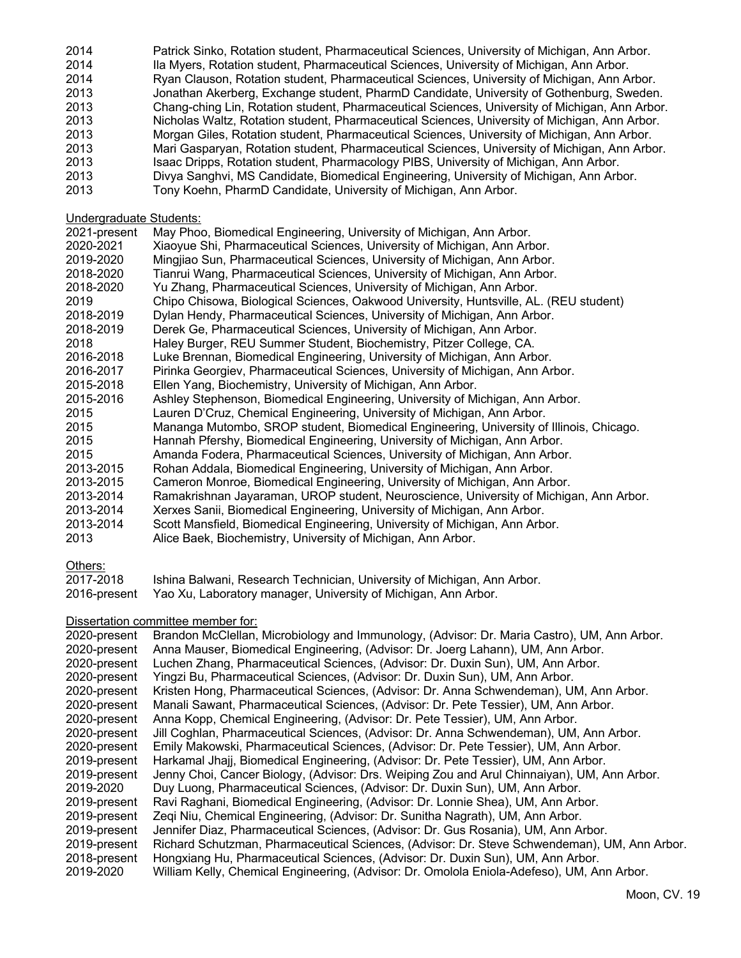| 2014 | Patrick Sinko, Rotation student, Pharmaceutical Sciences, University of Michigan, Ann Arbor.   |
|------|------------------------------------------------------------------------------------------------|
| 2014 | Ila Myers, Rotation student, Pharmaceutical Sciences, University of Michigan, Ann Arbor.       |
| 2014 | Ryan Clauson, Rotation student, Pharmaceutical Sciences, University of Michigan, Ann Arbor.    |
| 2013 | Jonathan Akerberg, Exchange student, PharmD Candidate, University of Gothenburg, Sweden.       |
| 2013 | Chang-ching Lin, Rotation student, Pharmaceutical Sciences, University of Michigan, Ann Arbor. |
| 2013 | Nicholas Waltz, Rotation student, Pharmaceutical Sciences, University of Michigan, Ann Arbor.  |
| 2013 | Morgan Giles, Rotation student, Pharmaceutical Sciences, University of Michigan, Ann Arbor.    |
| 2013 | Mari Gasparyan, Rotation student, Pharmaceutical Sciences, University of Michigan, Ann Arbor.  |
| 2013 | Isaac Dripps, Rotation student, Pharmacology PIBS, University of Michigan, Ann Arbor.          |
| 2013 | Divya Sanghvi, MS Candidate, Biomedical Engineering, University of Michigan, Ann Arbor.        |
| 2013 | Tony Koehn, PharmD Candidate, University of Michigan, Ann Arbor.                               |

Undergraduate Students:

| 2021-present | May Phoo, Biomedical Engineering, University of Michigan, Ann Arbor.                    |
|--------------|-----------------------------------------------------------------------------------------|
| 2020-2021    | Xiaoyue Shi, Pharmaceutical Sciences, University of Michigan, Ann Arbor.                |
| 2019-2020    | Mingjiao Sun, Pharmaceutical Sciences, University of Michigan, Ann Arbor.               |
| 2018-2020    | Tianrui Wang, Pharmaceutical Sciences, University of Michigan, Ann Arbor.               |
| 2018-2020    | Yu Zhang, Pharmaceutical Sciences, University of Michigan, Ann Arbor.                   |
| 2019         | Chipo Chisowa, Biological Sciences, Oakwood University, Huntsville, AL. (REU student)   |
| 2018-2019    | Dylan Hendy, Pharmaceutical Sciences, University of Michigan, Ann Arbor.                |
| 2018-2019    | Derek Ge, Pharmaceutical Sciences, University of Michigan, Ann Arbor.                   |
| 2018         | Haley Burger, REU Summer Student, Biochemistry, Pitzer College, CA.                     |
| 2016-2018    | Luke Brennan, Biomedical Engineering, University of Michigan, Ann Arbor.                |
| 2016-2017    | Pirinka Georgiev, Pharmaceutical Sciences, University of Michigan, Ann Arbor.           |
| 2015-2018    | Ellen Yang, Biochemistry, University of Michigan, Ann Arbor.                            |
| 2015-2016    | Ashley Stephenson, Biomedical Engineering, University of Michigan, Ann Arbor.           |
| 2015         | Lauren D'Cruz, Chemical Engineering, University of Michigan, Ann Arbor.                 |
| 2015         | Mananga Mutombo, SROP student, Biomedical Engineering, University of Illinois, Chicago. |
| 2015         | Hannah Pfershy, Biomedical Engineering, University of Michigan, Ann Arbor.              |
| 2015         | Amanda Fodera, Pharmaceutical Sciences, University of Michigan, Ann Arbor.              |
| 2013-2015    | Rohan Addala, Biomedical Engineering, University of Michigan, Ann Arbor.                |
| 2013-2015    | Cameron Monroe, Biomedical Engineering, University of Michigan, Ann Arbor.              |
| 2013-2014    | Ramakrishnan Jayaraman, UROP student, Neuroscience, University of Michigan, Ann Arbor.  |
| 2013-2014    | Xerxes Sanii, Biomedical Engineering, University of Michigan, Ann Arbor.                |
| 2013-2014    | Scott Mansfield, Biomedical Engineering, University of Michigan, Ann Arbor.             |
| 2013         | Alice Baek, Biochemistry, University of Michigan, Ann Arbor.                            |
|              |                                                                                         |

#### Others:

| 2017-2018 | Ishina Balwani, Research Technician, University of Michigan, Ann Arbor.     |
|-----------|-----------------------------------------------------------------------------|
|           | 2016-present Yao Xu, Laboratory manager, University of Michigan, Ann Arbor. |

# Dissertation committee member for:

| 2020-present | Brandon McClellan, Microbiology and Immunology, (Advisor: Dr. Maria Castro), UM, Ann Arbor.  |
|--------------|----------------------------------------------------------------------------------------------|
| 2020-present | Anna Mauser, Biomedical Engineering, (Advisor: Dr. Joerg Lahann), UM, Ann Arbor.             |
| 2020-present | Luchen Zhang, Pharmaceutical Sciences, (Advisor: Dr. Duxin Sun), UM, Ann Arbor.              |
| 2020-present | Yingzi Bu, Pharmaceutical Sciences, (Advisor: Dr. Duxin Sun), UM, Ann Arbor.                 |
| 2020-present | Kristen Hong, Pharmaceutical Sciences, (Advisor: Dr. Anna Schwendeman), UM, Ann Arbor.       |
| 2020-present | Manali Sawant, Pharmaceutical Sciences, (Advisor: Dr. Pete Tessier), UM, Ann Arbor.          |
| 2020-present | Anna Kopp, Chemical Engineering, (Advisor: Dr. Pete Tessier), UM, Ann Arbor.                 |
| 2020-present | Jill Coghlan, Pharmaceutical Sciences, (Advisor: Dr. Anna Schwendeman), UM, Ann Arbor.       |
| 2020-present | Emily Makowski, Pharmaceutical Sciences, (Advisor: Dr. Pete Tessier), UM, Ann Arbor.         |
| 2019-present | Harkamal Jhajj, Biomedical Engineering, (Advisor: Dr. Pete Tessier), UM, Ann Arbor.          |
| 2019-present | Jenny Choi, Cancer Biology, (Advisor: Drs. Weiping Zou and Arul Chinnaiyan), UM, Ann Arbor.  |
| 2019-2020    | Duy Luong, Pharmaceutical Sciences, (Advisor: Dr. Duxin Sun), UM, Ann Arbor.                 |
| 2019-present | Ravi Raghani, Biomedical Engineering, (Advisor: Dr. Lonnie Shea), UM, Ann Arbor.             |
| 2019-present | Zeqi Niu, Chemical Engineering, (Advisor: Dr. Sunitha Nagrath), UM, Ann Arbor.               |
| 2019-present | Jennifer Diaz, Pharmaceutical Sciences, (Advisor: Dr. Gus Rosania), UM, Ann Arbor.           |
| 2019-present | Richard Schutzman, Pharmaceutical Sciences, (Advisor: Dr. Steve Schwendeman), UM, Ann Arbor. |
| 2018-present | Hongxiang Hu, Pharmaceutical Sciences, (Advisor: Dr. Duxin Sun), UM, Ann Arbor.              |
| 2019-2020    | William Kelly, Chemical Engineering, (Advisor: Dr. Omolola Eniola-Adefeso), UM, Ann Arbor.   |
|              |                                                                                              |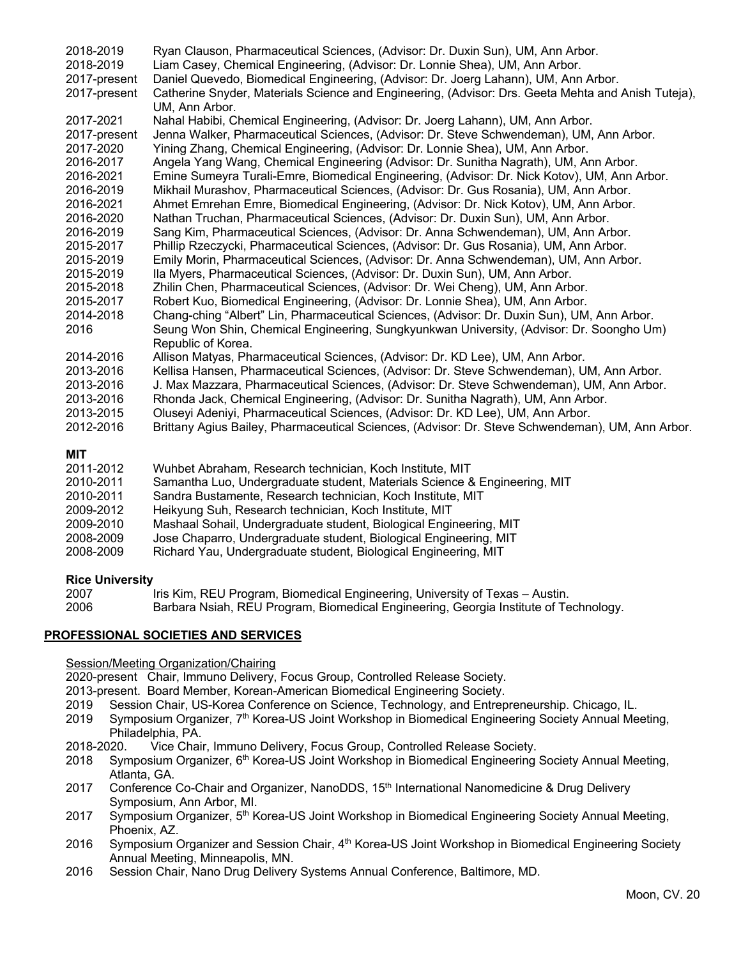| 2018-2019<br>2018-2019<br>2017-present<br>2017-present | Ryan Clauson, Pharmaceutical Sciences, (Advisor: Dr. Duxin Sun), UM, Ann Arbor.<br>Liam Casey, Chemical Engineering, (Advisor: Dr. Lonnie Shea), UM, Ann Arbor.<br>Daniel Quevedo, Biomedical Engineering, (Advisor: Dr. Joerg Lahann), UM, Ann Arbor.<br>Catherine Snyder, Materials Science and Engineering, (Advisor: Drs. Geeta Mehta and Anish Tuteja),<br>UM, Ann Arbor. |
|--------------------------------------------------------|--------------------------------------------------------------------------------------------------------------------------------------------------------------------------------------------------------------------------------------------------------------------------------------------------------------------------------------------------------------------------------|
| 2017-2021                                              | Nahal Habibi, Chemical Engineering, (Advisor: Dr. Joerg Lahann), UM, Ann Arbor.                                                                                                                                                                                                                                                                                                |
| 2017-present                                           | Jenna Walker, Pharmaceutical Sciences, (Advisor: Dr. Steve Schwendeman), UM, Ann Arbor.                                                                                                                                                                                                                                                                                        |
| 2017-2020                                              | Yining Zhang, Chemical Engineering, (Advisor: Dr. Lonnie Shea), UM, Ann Arbor.                                                                                                                                                                                                                                                                                                 |
| 2016-2017                                              | Angela Yang Wang, Chemical Engineering (Advisor: Dr. Sunitha Nagrath), UM, Ann Arbor.                                                                                                                                                                                                                                                                                          |
| 2016-2021                                              | Emine Sumeyra Turali-Emre, Biomedical Engineering, (Advisor: Dr. Nick Kotov), UM, Ann Arbor.                                                                                                                                                                                                                                                                                   |
| 2016-2019                                              | Mikhail Murashov, Pharmaceutical Sciences, (Advisor: Dr. Gus Rosania), UM, Ann Arbor.                                                                                                                                                                                                                                                                                          |
| 2016-2021                                              | Ahmet Emrehan Emre, Biomedical Engineering, (Advisor: Dr. Nick Kotov), UM, Ann Arbor.                                                                                                                                                                                                                                                                                          |
| 2016-2020                                              | Nathan Truchan, Pharmaceutical Sciences, (Advisor: Dr. Duxin Sun), UM, Ann Arbor.                                                                                                                                                                                                                                                                                              |
| 2016-2019                                              | Sang Kim, Pharmaceutical Sciences, (Advisor: Dr. Anna Schwendeman), UM, Ann Arbor.                                                                                                                                                                                                                                                                                             |
| 2015-2017                                              | Phillip Rzeczycki, Pharmaceutical Sciences, (Advisor: Dr. Gus Rosania), UM, Ann Arbor.                                                                                                                                                                                                                                                                                         |
| 2015-2019                                              | Emily Morin, Pharmaceutical Sciences, (Advisor: Dr. Anna Schwendeman), UM, Ann Arbor.                                                                                                                                                                                                                                                                                          |
| 2015-2019                                              | Ila Myers, Pharmaceutical Sciences, (Advisor: Dr. Duxin Sun), UM, Ann Arbor.                                                                                                                                                                                                                                                                                                   |
| 2015-2018                                              | Zhilin Chen, Pharmaceutical Sciences, (Advisor: Dr. Wei Cheng), UM, Ann Arbor.                                                                                                                                                                                                                                                                                                 |
| 2015-2017                                              | Robert Kuo, Biomedical Engineering, (Advisor: Dr. Lonnie Shea), UM, Ann Arbor.                                                                                                                                                                                                                                                                                                 |
| 2014-2018                                              | Chang-ching "Albert" Lin, Pharmaceutical Sciences, (Advisor: Dr. Duxin Sun), UM, Ann Arbor.                                                                                                                                                                                                                                                                                    |
| 2016                                                   | Seung Won Shin, Chemical Engineering, Sungkyunkwan University, (Advisor: Dr. Soongho Um)<br>Republic of Korea.                                                                                                                                                                                                                                                                 |
| 2014-2016                                              | Allison Matyas, Pharmaceutical Sciences, (Advisor: Dr. KD Lee), UM, Ann Arbor.                                                                                                                                                                                                                                                                                                 |
| 2013-2016                                              | Kellisa Hansen, Pharmaceutical Sciences, (Advisor: Dr. Steve Schwendeman), UM, Ann Arbor.                                                                                                                                                                                                                                                                                      |
| 2013-2016                                              | J. Max Mazzara, Pharmaceutical Sciences, (Advisor: Dr. Steve Schwendeman), UM, Ann Arbor.                                                                                                                                                                                                                                                                                      |
| 2013-2016                                              | Rhonda Jack, Chemical Engineering, (Advisor: Dr. Sunitha Nagrath), UM, Ann Arbor.                                                                                                                                                                                                                                                                                              |
| 2013-2015                                              | Oluseyi Adeniyi, Pharmaceutical Sciences, (Advisor: Dr. KD Lee), UM, Ann Arbor.                                                                                                                                                                                                                                                                                                |
| 2012-2016                                              | Brittany Agius Bailey, Pharmaceutical Sciences, (Advisor: Dr. Steve Schwendeman), UM, Ann Arbor.                                                                                                                                                                                                                                                                               |
| <b>MIT</b><br>2011-2012                                | Wuhbet Abraham, Research technician, Koch Institute, MIT                                                                                                                                                                                                                                                                                                                       |

| Wuhbet Abraham, Research technician, Koch Institute, MIT                  |
|---------------------------------------------------------------------------|
| Samantha Luo, Undergraduate student, Materials Science & Engineering, MIT |
| Sandra Bustamente, Research technician, Koch Institute, MIT               |
| Heikyung Suh, Research technician, Koch Institute, MIT                    |
| Mashaal Sohail, Undergraduate student, Biological Engineering, MIT        |
| Jose Chaparro, Undergraduate student, Biological Engineering, MIT         |
| Richard Yau, Undergraduate student, Biological Engineering, MIT           |
|                                                                           |

# **Rice University**

2007 Iris Kim, REU Program, Biomedical Engineering, University of Texas – Austin. 2006 Barbara Nsiah, REU Program, Biomedical Engineering, Georgia Institute of Technology.

# **PROFESSIONAL SOCIETIES AND SERVICES**

### Session/Meeting Organization/Chairing

2020-present Chair, Immuno Delivery, Focus Group, Controlled Release Society.

2013-present. Board Member, Korean-American Biomedical Engineering Society.

- 2019 Session Chair, US-Korea Conference on Science, Technology, and Entrepreneurship. Chicago, IL.
- 2019 Symposium Organizer, 7<sup>th</sup> Korea-US Joint Workshop in Biomedical Engineering Society Annual Meeting, Philadelphia, PA.
- 2018-2020. Vice Chair, Immuno Delivery, Focus Group, Controlled Release Society.
- 2018 Symposium Organizer, 6th Korea-US Joint Workshop in Biomedical Engineering Society Annual Meeting, Atlanta, GA.
- 2017 Conference Co-Chair and Organizer, NanoDDS, 15<sup>th</sup> International Nanomedicine & Drug Delivery Symposium, Ann Arbor, MI.
- 2017 Symposium Organizer, 5th Korea-US Joint Workshop in Biomedical Engineering Society Annual Meeting, Phoenix, AZ.
- 2016 Symposium Organizer and Session Chair, 4<sup>th</sup> Korea-US Joint Workshop in Biomedical Engineering Society Annual Meeting, Minneapolis, MN.
- 2016 Session Chair, Nano Drug Delivery Systems Annual Conference, Baltimore, MD.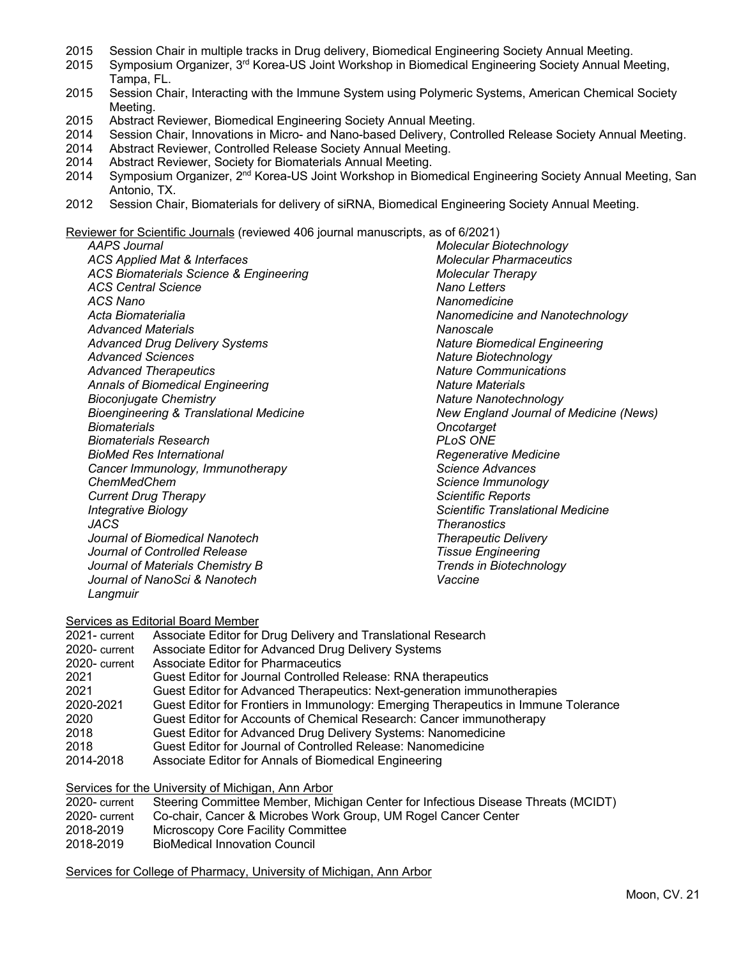- 2015 Session Chair in multiple tracks in Drug delivery, Biomedical Engineering Society Annual Meeting.
- 2015 Symposium Organizer, 3rd Korea-US Joint Workshop in Biomedical Engineering Society Annual Meeting, Tampa, FL.
- 2015 Session Chair, Interacting with the Immune System using Polymeric Systems, American Chemical Society Meeting.
- 2015 Abstract Reviewer, Biomedical Engineering Society Annual Meeting.
- 2014 Session Chair, Innovations in Micro- and Nano-based Delivery, Controlled Release Society Annual Meeting.
- 2014 Abstract Reviewer, Controlled Release Society Annual Meeting.
- 2014 Abstract Reviewer, Society for Biomaterials Annual Meeting.
- 2014 Symposium Organizer, 2<sup>nd</sup> Korea-US Joint Workshop in Biomedical Engineering Society Annual Meeting, San Antonio, TX.
- 2012 Session Chair, Biomaterials for delivery of siRNA, Biomedical Engineering Society Annual Meeting.

Reviewer for Scientific Journals (reviewed 406 journal manuscripts, as of 6/2021)

*AAPS Journal*

*ACS Applied Mat & Interfaces ACS Biomaterials Science & Engineering ACS Central Science ACS Nano Acta Biomaterialia Advanced Materials Advanced Drug Delivery Systems Advanced Sciences Advanced Therapeutics Annals of Biomedical Engineering Bioconjugate Chemistry Bioengineering & Translational Medicine Biomaterials Biomaterials Research BioMed Res International Cancer Immunology, Immunotherapy ChemMedChem Current Drug Therapy Integrative Biology JACS Journal of Biomedical Nanotech Journal of Controlled Release Journal of Materials Chemistry B Journal of NanoSci & Nanotech Langmuir*

*Molecular Biotechnology Molecular Pharmaceutics Molecular Therapy Nano Letters Nanomedicine Nanomedicine and Nanotechnology Nanoscale Nature Biomedical Engineering Nature Biotechnology Nature Communications Nature Materials Nature Nanotechnology New England Journal of Medicine (News) Oncotarget PLoS ONE Regenerative Medicine Science Advances Science Immunology Scientific Reports Scientific Translational Medicine Theranostics Therapeutic Delivery Tissue Engineering Trends in Biotechnology Vaccine* 

Services as Editorial Board Member

| 2021- current | Associate Editor for Drug Delivery and Translational Research                       |
|---------------|-------------------------------------------------------------------------------------|
| 2020-current  | Associate Editor for Advanced Drug Delivery Systems                                 |
| 2020-current  | <b>Associate Editor for Pharmaceutics</b>                                           |
| 2021          | Guest Editor for Journal Controlled Release: RNA therapeutics                       |
| 2021          | Guest Editor for Advanced Therapeutics: Next-generation immunotherapies             |
| 2020-2021     | Guest Editor for Frontiers in Immunology: Emerging Therapeutics in Immune Tolerance |
| 2020          | Guest Editor for Accounts of Chemical Research: Cancer immunotherapy                |
| 2018          | Guest Editor for Advanced Drug Delivery Systems: Nanomedicine                       |
| 2018          | Guest Editor for Journal of Controlled Release: Nanomedicine                        |
| 2014-2018     | Associate Editor for Annals of Biomedical Engineering                               |
|               |                                                                                     |

Services for the University of Michigan, Ann Arbor

| 2020-current | Steering Committee Member, Michigan Center for Infectious Disease Threats (MCIDT) |
|--------------|-----------------------------------------------------------------------------------|
| 2020-current | Co-chair, Cancer & Microbes Work Group, UM Rogel Cancer Center                    |
| 2018-2019    | Microscopy Core Facility Committee                                                |
| 2018-2019    | BioMedical Innovation Council                                                     |

Services for College of Pharmacy, University of Michigan, Ann Arbor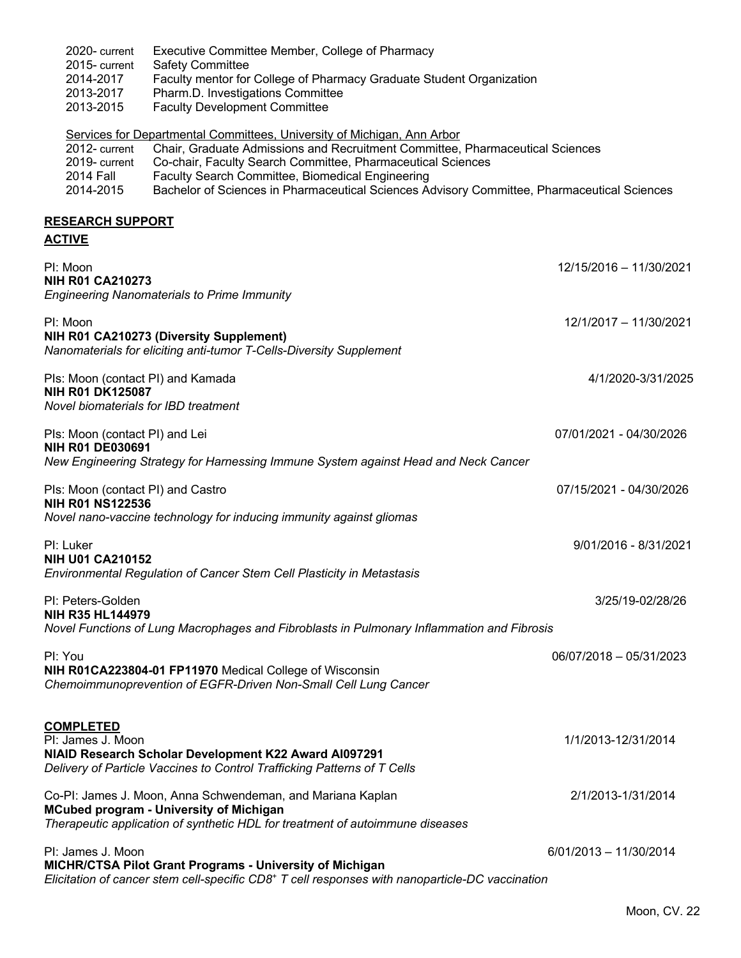| 2020-current<br>2015-current<br>2014-2017<br>2013-2017<br>2013-2015                                  | Executive Committee Member, College of Pharmacy<br><b>Safety Committee</b><br>Faculty mentor for College of Pharmacy Graduate Student Organization<br>Pharm.D. Investigations Committee<br><b>Faculty Development Committee</b>                                                                                                                                            |                          |
|------------------------------------------------------------------------------------------------------|----------------------------------------------------------------------------------------------------------------------------------------------------------------------------------------------------------------------------------------------------------------------------------------------------------------------------------------------------------------------------|--------------------------|
| 2012-current<br>2019-current<br><b>2014 Fall</b><br>2014-2015                                        | Services for Departmental Committees, University of Michigan, Ann Arbor<br>Chair, Graduate Admissions and Recruitment Committee, Pharmaceutical Sciences<br>Co-chair, Faculty Search Committee, Pharmaceutical Sciences<br>Faculty Search Committee, Biomedical Engineering<br>Bachelor of Sciences in Pharmaceutical Sciences Advisory Committee, Pharmaceutical Sciences |                          |
| <b>RESEARCH SUPPORT</b><br><b>ACTIVE</b>                                                             |                                                                                                                                                                                                                                                                                                                                                                            |                          |
| PI: Moon<br><b>NIH R01 CA210273</b>                                                                  | <b>Engineering Nanomaterials to Prime Immunity</b>                                                                                                                                                                                                                                                                                                                         | 12/15/2016 - 11/30/2021  |
| PI: Moon                                                                                             | NIH R01 CA210273 (Diversity Supplement)<br>Nanomaterials for eliciting anti-tumor T-Cells-Diversity Supplement                                                                                                                                                                                                                                                             | 12/1/2017 - 11/30/2021   |
| Pls: Moon (contact PI) and Kamada<br><b>NIH R01 DK125087</b><br>Novel biomaterials for IBD treatment |                                                                                                                                                                                                                                                                                                                                                                            | 4/1/2020-3/31/2025       |
| Pls: Moon (contact PI) and Lei<br><b>NIH R01 DE030691</b>                                            | New Engineering Strategy for Harnessing Immune System against Head and Neck Cancer                                                                                                                                                                                                                                                                                         | 07/01/2021 - 04/30/2026  |
| Pls: Moon (contact PI) and Castro<br><b>NIH R01 NS122536</b>                                         | Novel nano-vaccine technology for inducing immunity against gliomas                                                                                                                                                                                                                                                                                                        | 07/15/2021 - 04/30/2026  |
| PI: Luker<br><b>NIH U01 CA210152</b>                                                                 | Environmental Regulation of Cancer Stem Cell Plasticity in Metastasis                                                                                                                                                                                                                                                                                                      | 9/01/2016 - 8/31/2021    |
| PI: Peters-Golden<br>NIH R35 HL144979                                                                | Novel Functions of Lung Macrophages and Fibroblasts in Pulmonary Inflammation and Fibrosis                                                                                                                                                                                                                                                                                 | 3/25/19-02/28/26         |
| PI: You                                                                                              | NIH R01CA223804-01 FP11970 Medical College of Wisconsin<br>Chemoimmunoprevention of EGFR-Driven Non-Small Cell Lung Cancer                                                                                                                                                                                                                                                 | 06/07/2018 - 05/31/2023  |
| <b>COMPLETED</b><br>PI: James J. Moon                                                                | NIAID Research Scholar Development K22 Award AI097291<br>Delivery of Particle Vaccines to Control Trafficking Patterns of T Cells                                                                                                                                                                                                                                          | 1/1/2013-12/31/2014      |
|                                                                                                      | Co-PI: James J. Moon, Anna Schwendeman, and Mariana Kaplan<br><b>MCubed program - University of Michigan</b><br>Therapeutic application of synthetic HDL for treatment of autoimmune diseases                                                                                                                                                                              | 2/1/2013-1/31/2014       |
| PI: James J. Moon                                                                                    | <b>MICHR/CTSA Pilot Grant Programs - University of Michigan</b><br>Elicitation of cancer stem cell-specific CD8 <sup>+</sup> T cell responses with nanoparticle-DC vaccination                                                                                                                                                                                             | $6/01/2013 - 11/30/2014$ |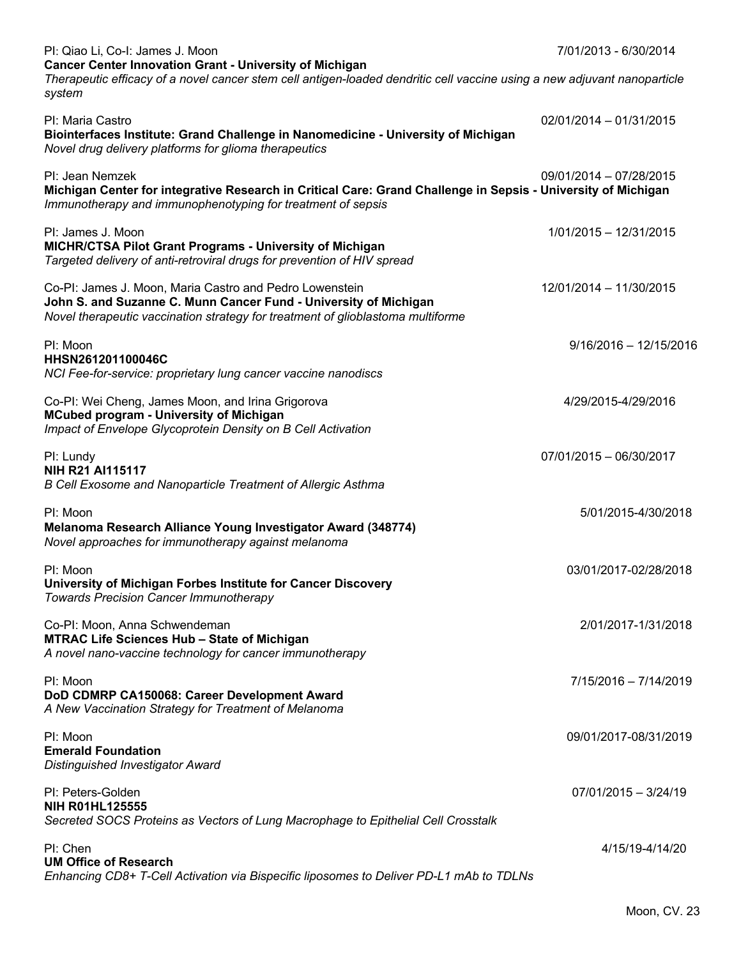| PI: Qiao Li, Co-I: James J. Moon                                                                                                                                                                               | 7/01/2013 - 6/30/2014    |
|----------------------------------------------------------------------------------------------------------------------------------------------------------------------------------------------------------------|--------------------------|
| <b>Cancer Center Innovation Grant - University of Michigan</b><br>Therapeutic efficacy of a novel cancer stem cell antigen-loaded dendritic cell vaccine using a new adjuvant nanoparticle<br>system           |                          |
| PI: Maria Castro<br>Biointerfaces Institute: Grand Challenge in Nanomedicine - University of Michigan<br>Novel drug delivery platforms for glioma therapeutics                                                 | 02/01/2014 - 01/31/2015  |
| PI: Jean Nemzek<br>Michigan Center for integrative Research in Critical Care: Grand Challenge in Sepsis - University of Michigan<br>Immunotherapy and immunophenotyping for treatment of sepsis                | 09/01/2014 - 07/28/2015  |
| PI: James J. Moon<br><b>MICHR/CTSA Pilot Grant Programs - University of Michigan</b><br>Targeted delivery of anti-retroviral drugs for prevention of HIV spread                                                | 1/01/2015 - 12/31/2015   |
| Co-PI: James J. Moon, Maria Castro and Pedro Lowenstein<br>John S. and Suzanne C. Munn Cancer Fund - University of Michigan<br>Novel therapeutic vaccination strategy for treatment of glioblastoma multiforme | 12/01/2014 - 11/30/2015  |
| PI: Moon<br>HHSN261201100046C<br>NCI Fee-for-service: proprietary lung cancer vaccine nanodiscs                                                                                                                | $9/16/2016 - 12/15/2016$ |
| Co-PI: Wei Cheng, James Moon, and Irina Grigorova<br><b>MCubed program - University of Michigan</b><br>Impact of Envelope Glycoprotein Density on B Cell Activation                                            | 4/29/2015-4/29/2016      |
| PI: Lundy<br>NIH R21 AI115117<br>B Cell Exosome and Nanoparticle Treatment of Allergic Asthma                                                                                                                  | 07/01/2015 - 06/30/2017  |
| PI: Moon<br>Melanoma Research Alliance Young Investigator Award (348774)<br>Novel approaches for immunotherapy against melanoma                                                                                | 5/01/2015-4/30/2018      |
| PI: Moon<br>University of Michigan Forbes Institute for Cancer Discovery<br><b>Towards Precision Cancer Immunotherapy</b>                                                                                      | 03/01/2017-02/28/2018    |
| Co-PI: Moon, Anna Schwendeman<br><b>MTRAC Life Sciences Hub - State of Michigan</b><br>A novel nano-vaccine technology for cancer immunotherapy                                                                | 2/01/2017-1/31/2018      |
| PI: Moon<br>DoD CDMRP CA150068: Career Development Award<br>A New Vaccination Strategy for Treatment of Melanoma                                                                                               | 7/15/2016 - 7/14/2019    |
| PI: Moon<br><b>Emerald Foundation</b><br><b>Distinguished Investigator Award</b>                                                                                                                               | 09/01/2017-08/31/2019    |
| PI: Peters-Golden<br><b>NIH R01HL125555</b><br>Secreted SOCS Proteins as Vectors of Lung Macrophage to Epithelial Cell Crosstalk                                                                               | $07/01/2015 - 3/24/19$   |
| PI: Chen<br><b>UM Office of Research</b><br>Enhancing CD8+ T-Cell Activation via Bispecific liposomes to Deliver PD-L1 mAb to TDLNs                                                                            | 4/15/19-4/14/20          |